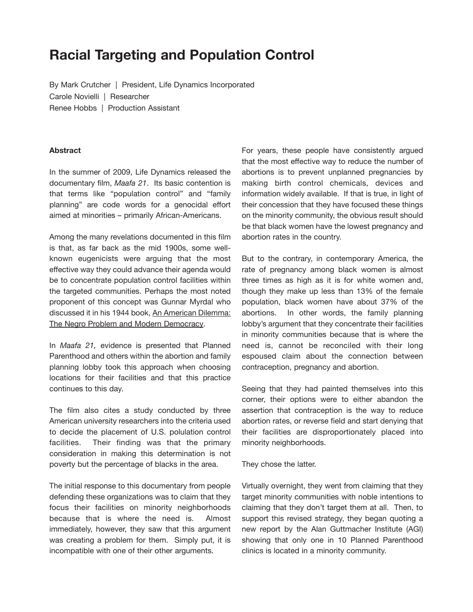# **Racial Targeting and Population Control**

By Mark Crutcher | President, Life Dynamics Incorporated Carole Novielli | Researcher Renee Hobbs | Production Assistant

#### **Abstract**

In the summer of 2009, Life Dynamics released the documentary film, *Maafa 21*. Its basic contention is that terms like "population control" and "family planning" are code words for a genocidal effort aimed at minorities – primarily African-Americans.

Among the many revelations documented in this film is that, as far back as the mid 1900s, some wellknown eugenicists were arguing that the most effective way they could advance their agenda would be to concentrate population control facilities within the targeted communities. Perhaps the most noted proponent of this concept was Gunnar Myrdal who discussed it in his 1944 book, An American Dilemma: The Negro Problem and Modern Democracy.

In *Maafa 21,* evidence is presented that Planned Parenthood and others within the abortion and family planning lobby took this approach when choosing locations for their facilities and that this practice continues to this day.

The film also cites a study conducted by three American university researchers into the criteria used to decide the placement of U.S. polulation control facilities. Their finding was that the primary consideration in making this determination is not poverty but the percentage of blacks in the area.

The initial response to this documentary from people defending these organizations was to claim that they focus their facilities on minority neighborhoods because that is where the need is. Almost immediately, however, they saw that this argument was creating a problem for them. Simply put, it is incompatible with one of their other arguments.

For years, these people have consistently argued that the most effective way to reduce the number of abortions is to prevent unplanned pregnancies by making birth control chemicals, devices and information widely available. If that is true, in light of their concession that they have focused these things on the minority community, the obvious result should be that black women have the lowest pregnancy and abortion rates in the country.

But to the contrary, in contemporary America, the rate of pregnancy among black women is almost three times as high as it is for white women and, though they make up less than 13% of the female population, black women have about 37% of the abortions. In other words, the family planning lobby's argument that they concentrate their facilities in minority communities because that is where the need is, cannot be reconciled with their long espoused claim about the connection between contraception, pregnancy and abortion.

Seeing that they had painted themselves into this corner, their options were to either abandon the assertion that contraception is the way to reduce abortion rates, or reverse field and start denying that their facilities are disproportionately placed into minority neighborhoods.

#### They chose the latter.

Virtually overnight, they went from claiming that they target minority communities with noble intentions to claiming that they don't target them at all. Then, to support this revised strategy, they began quoting a new report by the Alan Guttmacher Institute (AGI) showing that only one in 10 Planned Parenthood clinics is located in a minority community.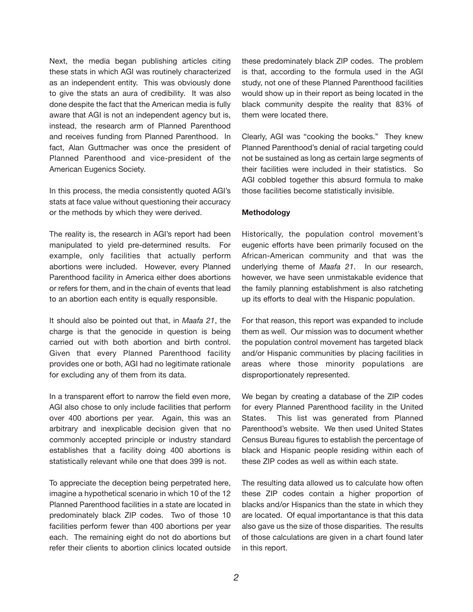Next, the media began publishing articles citing these stats in which AGI was routinely characterized as an independent entity. This was obviously done to give the stats an aura of credibility. It was also done despite the fact that the American media is fully aware that AGI is not an independent agency but is, instead, the research arm of Planned Parenthood and receives funding from Planned Parenthood. In fact, Alan Guttmacher was once the president of Planned Parenthood and vice-president of the American Eugenics Society.

In this process, the media consistently quoted AGI's stats at face value without questioning their accuracy or the methods by which they were derived.

The reality is, the research in AGI's report had been manipulated to yield pre-determined results. For example, only facilities that actually perform abortions were included. However, every Planned Parenthood facility in America either does abortions or refers for them, and in the chain of events that lead to an abortion each entity is equally responsible.

It should also be pointed out that, in *Maafa 21*, the charge is that the genocide in question is being carried out with both abortion and birth control. Given that every Planned Parenthood facility provides one or both, AGI had no legitimate rationale for excluding any of them from its data.

In a transparent effort to narrow the field even more, AGI also chose to only include facilities that perform over 400 abortions per year. Again, this was an arbitrary and inexplicable decision given that no commonly accepted principle or industry standard establishes that a facility doing 400 abortions is statistically relevant while one that does 399 is not.

To appreciate the deception being perpetrated here, imagine a hypothetical scenario in which 10 of the 12 Planned Parenthood facilities in a state are located in predominately black ZIP codes. Two of those 10 facilities perform fewer than 400 abortions per year each. The remaining eight do not do abortions but refer their clients to abortion clinics located outside

these predominately black ZIP codes. The problem is that, according to the formula used in the AGI study, not one of these Planned Parenthood facilities would show up in their report as being located in the black community despite the reality that 83% of them were located there.

Clearly, AGI was "cooking the books." They knew Planned Parenthood's denial of racial targeting could not be sustained as long as certain large segments of their facilities were included in their statistics. So AGI cobbled together this absurd formula to make those facilities become statistically invisible.

#### **Methodology**

Historically, the population control movement's eugenic efforts have been primarily focused on the African-American community and that was the underlying theme of *Maafa 21*. In our research, however, we have seen unmistakable evidence that the family planning establishment is also ratcheting up its efforts to deal with the Hispanic population.

For that reason, this report was expanded to include them as well. Our mission was to document whether the population control movement has targeted black and/or Hispanic communities by placing facilities in areas where those minority populations are disproportionately represented.

We began by creating a database of the ZIP codes for every Planned Parenthood facility in the United States. This list was generated from Planned Parenthood's website. We then used United States Census Bureau figures to establish the percentage of black and Hispanic people residing within each of these ZIP codes as well as within each state.

The resulting data allowed us to calculate how often these ZIP codes contain a higher proportion of blacks and/or Hispanics than the state in which they are located. Of equal importantance is that this data also gave us the size of those disparities. The results of those calculations are given in a chart found later in this report.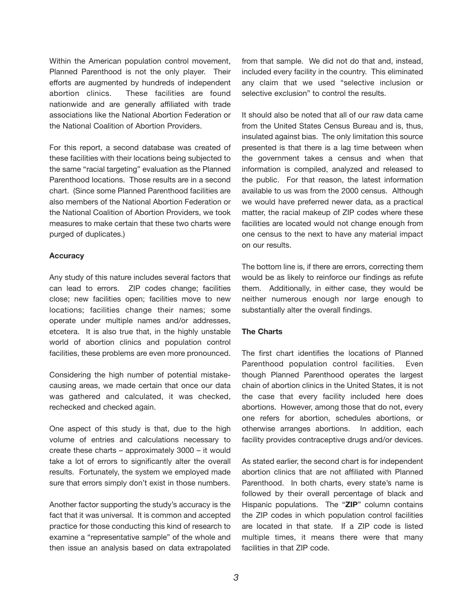Within the American population control movement, Planned Parenthood is not the only player. Their efforts are augmented by hundreds of independent abortion clinics. These facilities are found nationwide and are generally affiliated with trade associations like the National Abortion Federation or the National Coalition of Abortion Providers.

For this report, a second database was created of these facilities with their locations being subjected to the same "racial targeting" evaluation as the Planned Parenthood locations. Those results are in a second chart. (Since some Planned Parenthood facilities are also members of the National Abortion Federation or the National Coalition of Abortion Providers, we took measures to make certain that these two charts were purged of duplicates.)

#### **Accuracy**

Any study of this nature includes several factors that can lead to errors. ZIP codes change; facilities close; new facilities open; facilities move to new locations; facilities change their names; some operate under multiple names and/or addresses, etcetera. It is also true that, in the highly unstable world of abortion clinics and population control facilities, these problems are even more pronounced.

Considering the high number of potential mistakecausing areas, we made certain that once our data was gathered and calculated, it was checked, rechecked and checked again.

One aspect of this study is that, due to the high volume of entries and calculations necessary to create these charts – approximately 3000 – it would take a lot of errors to significantly alter the overall results. Fortunately, the system we employed made sure that errors simply don't exist in those numbers.

Another factor supporting the study's accuracy is the fact that it was universal. It is common and accepted practice for those conducting this kind of research to examine a "representative sample" of the whole and then issue an analysis based on data extrapolated from that sample. We did not do that and, instead, included every facility in the country. This eliminated any claim that we used "selective inclusion or selective exclusion" to control the results.

It should also be noted that all of our raw data came from the United States Census Bureau and is, thus, insulated against bias. The only limitation this source presented is that there is a lag time between when the government takes a census and when that information is compiled, analyzed and released to the public. For that reason, the latest information available to us was from the 2000 census. Although we would have preferred newer data, as a practical matter, the racial makeup of ZIP codes where these facilities are located would not change enough from one census to the next to have any material impact on our results.

The bottom line is, if there are errors, correcting them would be as likely to reinforce our findings as refute them. Additionally, in either case, they would be neither numerous enough nor large enough to substantially alter the overall findings.

#### **The Charts**

The first chart identifies the locations of Planned Parenthood population control facilities. Even though Planned Parenthood operates the largest chain of abortion clinics in the United States, it is not the case that every facility included here does abortions. However, among those that do not, every one refers for abortion, schedules abortions, or otherwise arranges abortions. In addition, each facility provides contraceptive drugs and/or devices.

As stated earlier, the second chart is for independent abortion clinics that are not affiliated with Planned Parenthood. In both charts, every state's name is followed by their overall percentage of black and Hispanic populations. The "**ZIP**" column contains the ZIP codes in which population control facilities are located in that state. If a ZIP code is listed multiple times, it means there were that many facilities in that ZIP code.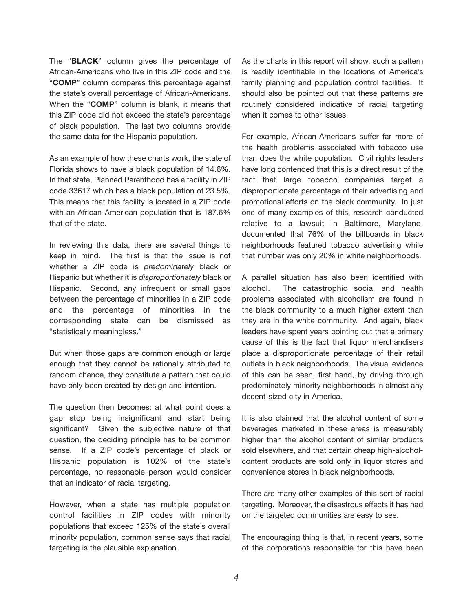The "**BLACK**" column gives the percentage of African-Americans who live in this ZIP code and the "**COMP**" column compares this percentage against the state's overall percentage of African-Americans. When the "**COMP**" column is blank, it means that this ZIP code did not exceed the state's percentage of black population. The last two columns provide the same data for the Hispanic population.

As an example of how these charts work, the state of Florida shows to have a black population of 14.6%. In that state, Planned Parenthood has a facility in ZIP code 33617 which has a black population of 23.5%. This means that this facility is located in a ZIP code with an African-American population that is 187.6% that of the state.

In reviewing this data, there are several things to keep in mind. The first is that the issue is not whether a ZIP code is *predominately* black or Hispanic but whether it is *disproportionately* black or Hispanic. Second, any infrequent or small gaps between the percentage of minorities in a ZIP code and the percentage of minorities in the corresponding state can be dismissed as "statistically meaningless."

But when those gaps are common enough or large enough that they cannot be rationally attributed to random chance, they constitute a pattern that could have only been created by design and intention.

The question then becomes: at what point does a gap stop being insignificant and start being significant? Given the subjective nature of that question, the deciding principle has to be common sense. If a ZIP code's percentage of black or Hispanic population is 102% of the state's percentage, no reasonable person would consider that an indicator of racial targeting.

However, when a state has multiple population control facilities in ZIP codes with minority populations that exceed 125% of the state's overall minority population, common sense says that racial targeting is the plausible explanation.

As the charts in this report will show, such a pattern is readily identifiable in the locations of America's family planning and population control facilities. It should also be pointed out that these patterns are routinely considered indicative of racial targeting when it comes to other issues.

For example, African-Americans suffer far more of the health problems associated with tobacco use than does the white population. Civil rights leaders have long contended that this is a direct result of the fact that large tobacco companies target a disproportionate percentage of their advertising and promotional efforts on the black community. In just one of many examples of this, research conducted relative to a lawsuit in Baltimore, Maryland, documented that 76% of the billboards in black neighborhoods featured tobacco advertising while that number was only 20% in white neighborhoods.

A parallel situation has also been identified with alcohol. The catastrophic social and health problems associated with alcoholism are found in the black community to a much higher extent than they are in the white community. And again, black leaders have spent years pointing out that a primary cause of this is the fact that liquor merchandisers place a disproportionate percentage of their retail outlets in black neighborhoods. The visual evidence of this can be seen, first hand, by driving through predominately minority neighborhoods in almost any decent-sized city in America.

It is also claimed that the alcohol content of some beverages marketed in these areas is measurably higher than the alcohol content of similar products sold elsewhere, and that certain cheap high-alcoholcontent products are sold only in liquor stores and convenience stores in black neighborhoods.

There are many other examples of this sort of racial targeting. Moreover, the disastrous effects it has had on the targeted communities are easy to see.

The encouraging thing is that, in recent years, some of the corporations responsible for this have been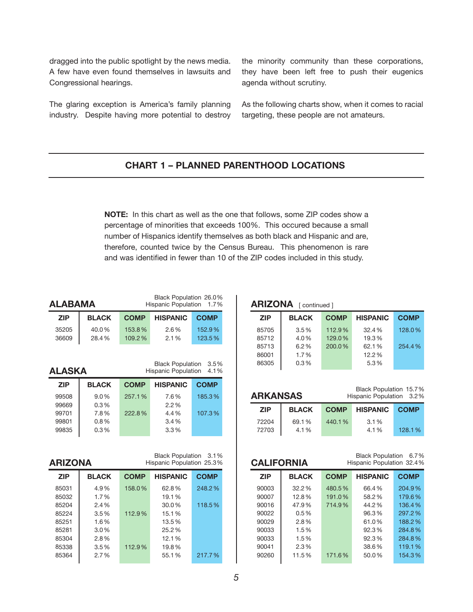dragged into the public spotlight by the news media. A few have even found themselves in lawsuits and Congressional hearings.

The glaring exception is America's family planning industry. Despite having more potential to destroy the minority community than these corporations, they have been left free to push their eugenics agenda without scrutiny.

As the following charts show, when it comes to racial targeting, these people are not amateurs.

#### **CHART 1 – PLANNED PARENTHOOD LOCATIONS**

**NOTE:** In this chart as well as the one that follows, some ZIP codes show a percentage of minorities that exceeds 100%. This occured because a small number of Hispanics identify themselves as both black and Hispanic and are, therefore, counted twice by the Census Bureau. This phenomenon is rare and was identified in fewer than 10 of the ZIP codes included in this study.

 $\overline{1}$ 

Black Population 26.0%

| ALABAMA<br><b>Hispanic Population</b><br>1.7% |              |             |                                                                       |              |
|-----------------------------------------------|--------------|-------------|-----------------------------------------------------------------------|--------------|
| <b>ZIP</b>                                    | <b>BLACK</b> | <b>COMP</b> | <b>HISPANIC</b>                                                       | <b>COMP</b>  |
| 35205                                         | 40.0%        | 153.8%      | 2.6%                                                                  | 152.9%       |
| 36609                                         | 28.4%        | 109.2%      | 2.1%                                                                  | 123.5%       |
|                                               |              |             |                                                                       |              |
| ALASKA                                        |              |             | <b>Black Population</b><br><b>Hispanic Population</b>                 | 3.5%<br>4.1% |
| <b>ZIP</b>                                    | <b>BLACK</b> | <b>COMP</b> | <b>HISPANIC</b>                                                       | <b>COMP</b>  |
| 99508                                         | 9.0%         | 257.1%      | 7.6%                                                                  | 185.3%       |
| 99669                                         | 0.3%         |             | 2.2%                                                                  |              |
| 99701                                         | 7.8%         | 222.8%      | 4.4%                                                                  | 107.3%       |
|                                               |              |             |                                                                       |              |
| 99801                                         | 0.8%         |             | 3.4%                                                                  |              |
| 99835                                         | 0.3%         |             | 3.3%                                                                  |              |
| <b>ARIZONA</b><br><b>ZIP</b>                  | <b>BLACK</b> | <b>COMP</b> | Black Population 3.1%<br>Hispanic Population 25.3%<br><b>HISPANIC</b> | <b>COMP</b>  |
| 85031                                         | 4.9%         | 158.0%      | 62.8%                                                                 | 248.2%       |
| 85032                                         | 1.7%         |             | 19.1%                                                                 |              |
| 85204                                         | 2.4%         |             | 30.0%                                                                 | 118.5%       |
| 85224                                         | 3.5%         | 112.9%      | 15.1%                                                                 |              |
| 85251                                         | 1.6%         |             | 13.5%                                                                 |              |
| 85281                                         | 3.0%         |             | 25.2%                                                                 |              |
| 85304                                         | 2.8%         |             | 12.1%                                                                 |              |
| 85338                                         | 3.5%         | 112.9%      | 19.8%                                                                 |              |
| 85364                                         | 2.7%         |             | 55.1%                                                                 | 217.7%       |

**ALABAMA**

| <b>ARIZONA</b> [continued] |              |             |                 |             |  |
|----------------------------|--------------|-------------|-----------------|-------------|--|
| <b>ZIP</b>                 | <b>BLACK</b> | <b>COMP</b> | <b>HISPANIC</b> | <b>COMP</b> |  |
| 85705                      | $3.5\%$      | 112.9%      | 32.4%           | 128.0%      |  |
| 85712                      | 4.0%         | 129.0%      | 19.3%           |             |  |
| 85713                      | 6.2%         | 200.0%      | 62.1%           | 254.4%      |  |
| 86001                      | 1.7%         |             | 12.2%           |             |  |
| 86305                      | 0.3%         |             | 5.3%            |             |  |

|            | Black Population 15.7%<br><b>ARKANSAS</b><br>Hispanic Population 3.2% |             |                 |             |
|------------|-----------------------------------------------------------------------|-------------|-----------------|-------------|
| <b>ZIP</b> | <b>BLACK</b>                                                          | <b>COMP</b> | <b>HISPANIC</b> | <b>COMP</b> |
| 72204      | 69.1%                                                                 | 440.1%      | 3.1%            |             |
| 72703      | 4.1%                                                                  |             | 4.1%            | 128.1%      |

| Black Population 6.7%<br><b>CALIFORNIA</b><br>Hispanic Population 32.4% |              |             |                 |             |
|-------------------------------------------------------------------------|--------------|-------------|-----------------|-------------|
| <b>ZIP</b>                                                              | <b>BLACK</b> | <b>COMP</b> | <b>HISPANIC</b> | <b>COMP</b> |
| 90003                                                                   | 32.2%        | 480.5%      | 66.4%           | 204.9%      |
| 90007                                                                   | 12.8%        | 191.0%      | 58.2%           | 179.6%      |
| 90016                                                                   | 47.9%        | 714.9%      | 44.2%           | 136.4%      |
| 90022                                                                   | 0.5%         |             | 96.3%           | 297.2%      |
| 90029                                                                   | $2.8\%$      |             | 61.0%           | 188.2%      |
| 90033                                                                   | 1.5%         |             | 92.3%           | 284.8%      |
| 90033                                                                   | 1.5%         |             | 92.3%           | 284.8%      |
| 90041                                                                   | 2.3%         |             | 38.6%           | 119.1%      |
| 90260                                                                   | 11.5%        | 171.6%      | 50.0%           | 154.3%      |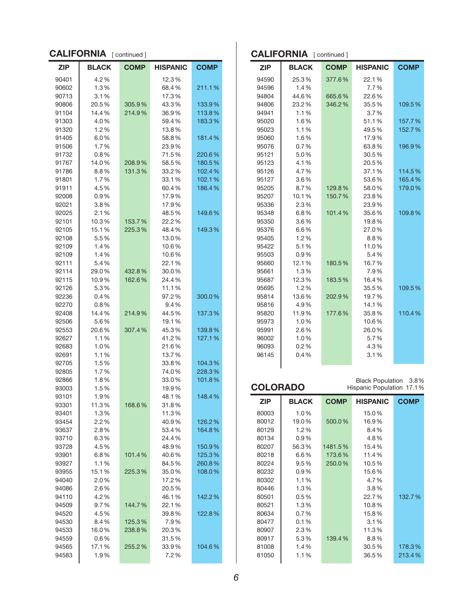| <b>CALIFORNIA</b> [continued] |  |  |  |
|-------------------------------|--|--|--|
| <b>COMP</b>                   |  |  |  |
|                               |  |  |  |
| 211.1%                        |  |  |  |
|                               |  |  |  |
| 133.9%                        |  |  |  |
| 113.8%                        |  |  |  |
| 183.3%                        |  |  |  |
|                               |  |  |  |
| 181.4%                        |  |  |  |
|                               |  |  |  |
| 220.6%                        |  |  |  |
| 180.5%                        |  |  |  |
| 102.4%                        |  |  |  |
| 102.1%                        |  |  |  |
| 186.4%                        |  |  |  |
|                               |  |  |  |
| 149.6%                        |  |  |  |
|                               |  |  |  |
| 149.3%                        |  |  |  |
|                               |  |  |  |
|                               |  |  |  |
|                               |  |  |  |
|                               |  |  |  |
|                               |  |  |  |
|                               |  |  |  |
|                               |  |  |  |
| 300.0%                        |  |  |  |
|                               |  |  |  |
| 137.3%                        |  |  |  |
|                               |  |  |  |
| 139.8%                        |  |  |  |
| 127.1%                        |  |  |  |
|                               |  |  |  |
|                               |  |  |  |
| 104.3%                        |  |  |  |
| 228.3%                        |  |  |  |
| 101.8%                        |  |  |  |
|                               |  |  |  |
| 148.4%                        |  |  |  |
|                               |  |  |  |
|                               |  |  |  |
| 126.2%                        |  |  |  |
| 164.8%                        |  |  |  |
|                               |  |  |  |
| 150.9%                        |  |  |  |
| 125.3%                        |  |  |  |
| 260.8%                        |  |  |  |
| 108.0%                        |  |  |  |
|                               |  |  |  |
|                               |  |  |  |
| 142.2%                        |  |  |  |
|                               |  |  |  |
| 122.8%                        |  |  |  |
|                               |  |  |  |
|                               |  |  |  |
|                               |  |  |  |
| 104.6%                        |  |  |  |
|                               |  |  |  |

| <b>CALIFORNIA</b> [continued] |              |             |                 |             |
|-------------------------------|--------------|-------------|-----------------|-------------|
| ZIP                           | <b>BLACK</b> | <b>COMP</b> | <b>HISPANIC</b> | <b>COMP</b> |
| 94590                         | 25.3%        | 377.6%      | 22.1%           |             |
| 94596                         | 1.4%         |             | 7.7%            |             |
| 94804                         | 44.6%        | 665.6%      | 22.6%           |             |
| 94806                         | 23.2%        | 346.2%      | 35.5%           | 109.5%      |
| 94941                         | 1.1%         |             | 3.7%            |             |
| 95020                         | 1.6%         |             | 51.1%           | 157.7%      |
| 95023                         | 1.1%         |             | 49.5%           | 152.7%      |
| 95060                         | 1.6%         |             | 17.9%           |             |
| 95076                         | 0.7%         |             | 63.8%           | 196.9%      |
| 95121                         | 5.0%         |             | 30.5%           |             |
| 95123                         | 4.1%         |             | 20.5%           |             |
| 95126                         | 4.7%         |             | 37.1%           | 114.5%      |
| 95127                         | $3.6\%$      |             | 53.6%           | 165.4%      |
| 95205                         | 8.7%         | 129.8%      | 58.0%           | 179.0%      |
| 95207                         | 10.1%        | 150.7%      | 23.8%           |             |
| 95336                         | 2.3%         |             | 23.9%           |             |
| 95348                         | 6.8%         | 101.4%      | 35.6%           | 109.8%      |
| 95350                         | $3.6\%$      |             | 19.8%           |             |
| 95376                         | 6.6%         |             | 27.0%           |             |
| 95405                         | 1.2%         |             | 8.8%            |             |
| 95422                         | 5.1%         |             | 11.0%           |             |
| 95503                         | 0.9%         |             | 5.4%            |             |
| 95660                         | 12.1%        | 180.5%      | 16.7%           |             |
| 95661                         | 1.3%         |             | 7.9%            |             |
| 95687                         | 12.3%        | 183.5%      | 16.4%           |             |
| 95695                         | 1.2%         |             | 35.5%           | 109.5%      |
| 95814                         | 13.6%        | 202.9%      | 19.7%           |             |
| 95816                         | 4.9%         |             | 14.1%           |             |
| 95820                         | 11.9%        | 177.6%      | 35.8%           | 110.4%      |
| 95973                         | 1.0%         |             | 10.6%           |             |
| 95991                         | 2.6%         |             | 26.0%           |             |
| 96002                         | 1.0%         |             | 5.7%            |             |
| 96093                         | 0.2%         |             | 4.3%            |             |
| 96145                         | 0.4%         |             | 3.1%            |             |
|                               |              |             |                 |             |

| Black Population 3.8%<br><b>COLORADO</b><br>Hispanic Population 17.1% |              |             |                 |             |
|-----------------------------------------------------------------------|--------------|-------------|-----------------|-------------|
| <b>ZIP</b>                                                            | <b>BLACK</b> | <b>COMP</b> | <b>HISPANIC</b> | <b>COMP</b> |
| 80003                                                                 | 1.0%         |             | 15.0%           |             |
| 80012                                                                 | 19.0%        | 500.0%      | 16.9%           |             |
| 80129                                                                 | 1.2%         |             | 8.4%            |             |
| 80134                                                                 | 0.9%         |             | 4.8%            |             |
| 80207                                                                 | 56.3%        | 1481.5%     | 15.4%           |             |
| 80218                                                                 | 6.6%         | 173.6%      | 11.4%           |             |
| 80224                                                                 | $9.5\%$      | 250.0%      | 10.5%           |             |
| 80232                                                                 | $0.9\%$      |             | 15.6%           |             |
| 80302                                                                 | 1.1%         |             | 4.7%            |             |
| 80446                                                                 | 1.3%         |             | 3.8%            |             |
| 80501                                                                 | 0.5%         |             | 22.7%           | 132.7%      |
| 80521                                                                 | 1.3%         |             | 10.8%           |             |
| 80634                                                                 | 0.7%         |             | 15.8%           |             |
| 80477                                                                 | 0.1%         |             | 3.1%            |             |
| 80907                                                                 | 2.3%         |             | 11.3%           |             |
| 80917                                                                 | 5.3%         | 139.4%      | 8.8%            |             |
| 81008                                                                 | 1.4%         |             | 30.5%           | 178.3%      |
| 81050                                                                 | 1.1%         |             | 36.5%           | 213.4%      |
|                                                                       |              |             |                 |             |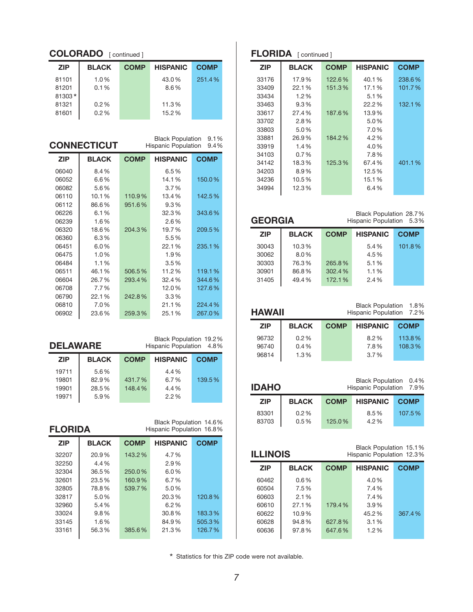| <b>COLORADO</b> [continued] |              |             |                 |             |
|-----------------------------|--------------|-------------|-----------------|-------------|
| <b>ZIP</b>                  | <b>BLACK</b> | <b>COMP</b> | <b>HISPANIC</b> | <b>COMP</b> |
| 81101                       | $1.0\%$      |             | 43.0%           | 251.4%      |
| 81201                       | $0.1\%$      |             | $8.6\%$         |             |
| 81303*                      |              |             |                 |             |
| 81321                       | 0.2%         |             | 11.3%           |             |
| 81601                       | 0.2%         |             | 15.2%           |             |

|            | <b>CONNECTICUT</b> |             | <b>Black Population</b><br><b>Hispanic Population</b> | 9.1%<br>9.4% |
|------------|--------------------|-------------|-------------------------------------------------------|--------------|
| <b>ZIP</b> | <b>BLACK</b>       | <b>COMP</b> | <b>HISPANIC</b>                                       | <b>COMP</b>  |
| 06040      | 8.4%               |             | 6.5%                                                  |              |
| 06052      | 6.6%               |             | 14.1%                                                 | 150.0%       |
| 06082      | 5.6%               |             | 3.7%                                                  |              |
| 06110      | 10.1%              | 110.9%      | 13.4%                                                 | 142.5%       |
| 06112      | 86.6%              | 951.6%      | 9.3%                                                  |              |
| 06226      | 6.1%               |             | 32.3%                                                 | 343.6%       |
| 06239      | 1.6%               |             | 2.6%                                                  |              |
| 06320      | 18.6%              | 204.3%      | 19.7%                                                 | 209.5%       |
| 06360      | 6.3%               |             | 5.5%                                                  |              |
| 06451      | 6.0%               |             | 22.1%                                                 | 235.1%       |
| 06475      | 1.0%               |             | 1.9%                                                  |              |
| 06484      | 1.1%               |             | 3.5%                                                  |              |
| 06511      | 46.1%              | 506.5%      | 11.2%                                                 | 119.1%       |
| 06604      | 26.7%              | 293.4%      | 32.4%                                                 | 344.6%       |
| 06708      | 7.7%               |             | 12.0%                                                 | 127.6%       |
| 06790      | 22.1%              | 242.8%      | 3.3%                                                  |              |
| 06810      | 7.0%               |             | 21.1%                                                 | 224.4%       |
| 06902      | 23.6%              | 259.3%      | 25.1%                                                 | 267.0%       |

| Black Population 19.2%<br><b>DELAWARE</b><br>Hispanic Population 4.8% |              |             |                 |             |
|-----------------------------------------------------------------------|--------------|-------------|-----------------|-------------|
| <b>ZIP</b>                                                            | <b>BLACK</b> | <b>COMP</b> | <b>HISPANIC</b> | <b>COMP</b> |
| 19711                                                                 | 5.6%         |             | 4.4%            |             |
| 19801                                                                 | 82.9%        | 431.7%      | 6.7%            | 139.5%      |
| 19901                                                                 | 28.5%        | 148.4%      | 4.4%            |             |
| 19971                                                                 | 5.9%         |             | 2.2%            |             |

| Black Population 14.6%    |  |
|---------------------------|--|
| Hispanic Population 16.8% |  |

| <b>ZIP</b> | <b>BLACK</b> | <b>COMP</b> | <b>HISPANIC</b> | <b>COMP</b> |
|------------|--------------|-------------|-----------------|-------------|
| 32207      | 20.9%        | 143.2%      | 4.7%            |             |
| 32250      | 4.4%         |             | 2.9%            |             |
| 32304      | 36.5%        | 250.0%      | $6.0\%$         |             |
| 32601      | 23.5%        | 160.9%      | 6.7%            |             |
| 32805      | 78.8%        | 539.7%      | 5.0%            |             |
| 32817      | 5.0%         |             | 20.3%           | 120.8%      |
| 32960      | 5.4%         |             | 6.2%            |             |
| 33024      | $9.8\%$      |             | 30.8%           | 183.3%      |
| 33145      | $1.6\%$      |             | 84.9%           | 505.3%      |
| 33161      | 56.3%        | 385.6%      | 21.3%           | 126.7%      |
|            |              |             |                 |             |

## **FLORIDA** [ continued ]

| <b>ZIP</b> | <b>BLACK</b> | <b>COMP</b> | <b>HISPANIC</b> | <b>COMP</b> |
|------------|--------------|-------------|-----------------|-------------|
| 33176      | 17.9%        | 122.6%      | 40.1%           | 238.6%      |
| 33409      | 22.1%        | 151.3%      | 17.1%           | 101.7%      |
| 33434      | 1.2%         |             | 5.1%            |             |
| 33463      | 9.3%         |             | 22.2%           | 132.1%      |
| 33617      | 27.4%        | 187.6%      | 13.9%           |             |
| 33702      | $2.8\%$      |             | 5.0%            |             |
| 33803      | 5.0%         |             | 7.0%            |             |
| 33881      | 26.9%        | 184.2%      | 4.2%            |             |
| 33919      | 1.4%         |             | 4.0%            |             |
| 34103      | $0.7\%$      |             | 7.8%            |             |
| 34142      | 18.3%        | 125.3%      | 67.4%           | 401.1%      |
| 34203      | 8.9%         |             | 12.5%           |             |
| 34236      | 10.5%        |             | 15.1%           |             |
| 34994      | 12.3%        |             | 6.4%            |             |
|            |              |             |                 |             |

| <b>GEORGIA</b> |              | Black Population 28.7%<br>Hispanic Population 5.3% |                 |             |
|----------------|--------------|----------------------------------------------------|-----------------|-------------|
| <b>ZIP</b>     | <b>BLACK</b> | <b>COMP</b>                                        | <b>HISPANIC</b> | <b>COMP</b> |
| 30043          | 10.3%        |                                                    | 5.4%            | 101.8%      |
| 30062          | 8.0%         |                                                    | 4.5%            |             |
| 30303          | 76.3%        | 265.8%                                             | 5.1%            |             |
| 30901          | 86.8%        | 302.4%                                             | 1.1%            |             |
| 31405          | 49.4%        | 172.1%                                             | 2.4%            |             |

| <b>HAWAII</b> | Black Population 1.8%<br>Hispanic Population 7.2% |                 |             |
|---------------|---------------------------------------------------|-----------------|-------------|
| <b>BLACK</b>  | <b>COMP</b>                                       | <b>HISPANIC</b> | <b>COMP</b> |
| 0.2%          |                                                   | 8.2%            | 113.8%      |
| $0.4\%$       |                                                   | 7.8%            | 108.3%      |
| 1.3%          |                                                   | 3.7%            |             |
|               |                                                   |                 |             |

| Black Population 0.4%<br><b>IDAHO</b><br>Hispanic Population 7.9% |              |             |                 |             |
|-------------------------------------------------------------------|--------------|-------------|-----------------|-------------|
| <b>ZIP</b>                                                        | <b>BLACK</b> | <b>COMP</b> | <b>HISPANIC</b> | <b>COMP</b> |
| 83301                                                             | 0.2%         |             | 8.5%            | 107.5%      |
| 83703                                                             | 0.5%         | 125.0%      | 4.2%            |             |

|            | Black Population 15.1%<br><b>ILLINOIS</b><br>Hispanic Population 12.3% |             |                 |             |
|------------|------------------------------------------------------------------------|-------------|-----------------|-------------|
| <b>ZIP</b> | <b>BLACK</b>                                                           | <b>COMP</b> | <b>HISPANIC</b> | <b>COMP</b> |
| 60462      | $0.6\%$                                                                |             | 4.0%            |             |
| 60504      | 7.5%                                                                   |             | 7.4%            |             |
| 60603      | 2.1%                                                                   |             | 7.4%            |             |
| 60610      | 27.1%                                                                  | 179.4%      | 3.9%            |             |
| 60622      | 10.9%                                                                  |             | 45.2%           | 367.4%      |
| 60628      | 94.8%                                                                  | 627.8%      | 3.1%            |             |
| 60636      | 97.8%                                                                  | 647.6%      | 1.2%            |             |
|            |                                                                        |             |                 |             |

\* Statistics for this ZIP code were not available.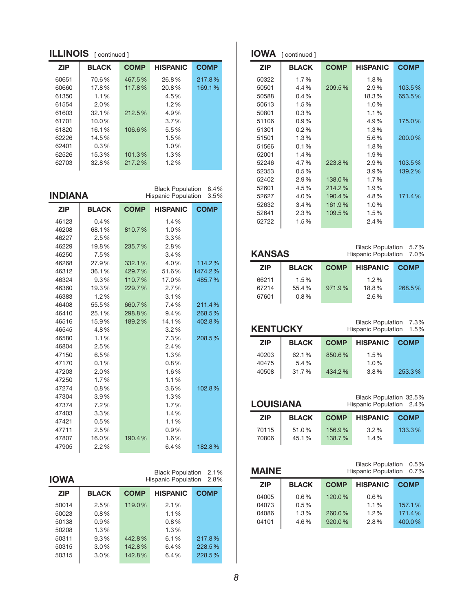| <b>ILLINOIS</b> [continued] |              |             |                 |             |  |
|-----------------------------|--------------|-------------|-----------------|-------------|--|
| <b>ZIP</b>                  | <b>BLACK</b> | <b>COMP</b> | <b>HISPANIC</b> | <b>COMP</b> |  |
| 60651                       | 70.6%        | 467.5%      | 26.8%           | 217.8%      |  |
| 60660                       | 17.8%        | 117.8%      | 20.8%           | 169.1%      |  |
| 61350                       | $1.1\%$      |             | 4.5%            |             |  |
| 61554                       | 2.0%         |             | 1.2%            |             |  |
| 61603                       | 32.1%        | 212.5%      | 4.9%            |             |  |
| 61701                       | $10.0\%$     |             | $3.7\%$         |             |  |
| 61820                       | 16.1%        | 106.6%      | 5.5%            |             |  |
| 62226                       | 14.5%        |             | 1.5%            |             |  |
| 62401                       | $0.3\%$      |             | 1.0%            |             |  |
| 62526                       | 15.3%        | 101.3%      | 1.3%            |             |  |
| 62703                       | 32.8%        | 217.2%      | $1.2\%$         |             |  |

**INdIaNa**

Black Population 8.4% Hispanic Population 3.5%

| <b>ZIP</b> | <b>BLACK</b> | <b>COMP</b> | <b>HISPANIC</b> | <b>COMP</b> |
|------------|--------------|-------------|-----------------|-------------|
| 46123      | 0.4%         |             | 1.4%            |             |
| 46208      | 68.1%        | 810.7%      | 1.0%            |             |
| 46227      | 2.5%         |             | 3.3%            |             |
| 46229      | 19.8%        | 235.7%      | 2.8%            |             |
| 46250      | 7.5%         |             | 3.4%            |             |
| 46268      | 27.9%        | 332.1%      | 4.0%            | 114.2%      |
| 46312      | 36.1%        | 429.7%      | 51.6%           | 1474.2%     |
| 46324      | 9.3%         | 110.7%      | 17.0%           | 485.7%      |
| 46360      | 19.3%        | 229.7%      | 2.7%            |             |
| 46383      | 1.2%         |             | 3.1%            |             |
| 46408      | 55.5%        | 660.7%      | 7.4%            | 211.4%      |
| 46410      | 25.1%        | 298.8%      | 9.4%            | 268.5%      |
| 46516      | 15.9%        | 189.2%      | 14.1%           | 402.8%      |
| 46545      | 4.8%         |             | 3.2%            |             |
| 46580      | 1.1%         |             | 7.3%            | 208.5%      |
| 46804      | 2.5%         |             | 2.4%            |             |
| 47150      | 6.5%         |             | 1.3%            |             |
| 47170      | 0.1%         |             | 0.8%            |             |
| 47203      | 2.0%         |             | 1.6%            |             |
| 47250      | 1.7%         |             | 1.1%            |             |
| 47274      | 0.8%         |             | 3.6%            | 102.8%      |
| 47304      | 3.9%         |             | 1.3%            |             |
| 47374      | 7.2%         |             | 1.7%            |             |
| 47403      | 3.3%         |             | 1.4%            |             |
| 47421      | 0.5%         |             | 1.1%            |             |
| 47711      | 2.5%         |             | 0.9%            |             |
| 47807      | 16.0%        | 190.4%      | 1.6%            |             |
| 47905      | 2.2%         |             | 6.4%            | 182.8%      |

| <b>IOWA</b> |              |             | <b>Black Population</b><br><b>Hispanic Population</b> | 2.1%<br>2.8% |
|-------------|--------------|-------------|-------------------------------------------------------|--------------|
| <b>ZIP</b>  | <b>BLACK</b> | <b>COMP</b> | <b>HISPANIC</b>                                       | <b>COMP</b>  |
| 50014       | $2.5\%$      | 119.0%      | 2.1%                                                  |              |
| 50023       | 0.8%         |             | 1.1%                                                  |              |
| 50138       | 0.9%         |             | 0.8%                                                  |              |
| 50208       | 1.3%         |             | 1.3%                                                  |              |
| 50311       | 9.3%         | 442.8%      | 6.1%                                                  | 217.8%       |
| 50315       | 3.0%         | 142.8%      | $6.4\%$                                               | 228.5%       |
| 50315       | 3.0%         | 142.8%      | $6.4\%$                                               | 228.5%       |

|            | IOWA [continued] |             |                 |             |
|------------|------------------|-------------|-----------------|-------------|
| <b>ZIP</b> | <b>BLACK</b>     | <b>COMP</b> | <b>HISPANIC</b> | <b>COMP</b> |
| 50322      | 1.7%             |             | 1.8%            |             |
| 50501      | 4.4%             | 209.5%      | 2.9%            | 103.5%      |
| 50588      | 0.4%             |             | 18.3%           | 653.5%      |
| 50613      | 1.5%             |             | 1.0%            |             |
| 50801      | $0.3\%$          |             | 1.1%            |             |
| 51106      | 0.9%             |             | 4.9%            | 175.0%      |
| 51301      | 0.2%             |             | 1.3%            |             |
| 51501      | 1.3%             |             | 5.6%            | 200.0%      |
| 51566      | 0.1%             |             | 1.8%            |             |
| 52001      | 1.4%             |             | 1.9%            |             |
| 52246      | 4.7%             | 223.8%      | 2.9%            | 103.5%      |
| 52353      | 0.5%             |             | 3.9%            | 139.2%      |
| 52402      | 2.9%             | 138.0%      | 1.7%            |             |
| 52601      | 4.5%             | 214.2%      | 1.9%            |             |
| 52627      | 4.0%             | 190.4%      | 4.8%            | 171.4%      |
| 52632      | 3.4%             | 161.9%      | 1.0%            |             |
| 52641      | 2.3%             | 109.5%      | 1.5%            |             |
| 52722      | 1.5%             |             | 2.4%            |             |

| <b>KANSAS</b>  |                  | Black Population 5.7%<br>Hispanic Population 7.0% |                 |             |
|----------------|------------------|---------------------------------------------------|-----------------|-------------|
| <b>ZIP</b>     | <b>BLACK</b>     | <b>COMP</b>                                       | <b>HISPANIC</b> | <b>COMP</b> |
| 66211          | 1.5%             |                                                   | $1.2\%$         |             |
| 67214<br>67601 | 55.4%<br>$0.8\%$ | 971.9%                                            | 18.8%<br>2.6%   | 268.5%      |

| <b>KENTUCKY</b> |              | Black Population 7.3%<br>Hispanic Population |                 |             |
|-----------------|--------------|----------------------------------------------|-----------------|-------------|
| <b>ZIP</b>      | <b>BLACK</b> | <b>COMP</b>                                  | <b>HISPANIC</b> | <b>COMP</b> |
| 40203           | 62.1%        | 850.6%                                       | 1.5%            |             |
| 40475           | 5.4%         |                                              | 1.0%            |             |
| 40508           | 31.7%        | 434.2%                                       | 3.8%            | 253.3%      |

| <b>LOUISIANA</b> |              |             | Black Population 32.5%<br>Hispanic Population 2.4% |             |
|------------------|--------------|-------------|----------------------------------------------------|-------------|
| <b>ZIP</b>       | <b>BLACK</b> | <b>COMP</b> | <b>HISPANIC</b>                                    | <b>COMP</b> |
| 70115            | 51.0%        | 156.9%      | 3.2%                                               | 133.3%      |
| 70806            | 45.1%        | 138.7%      | 1.4%                                               |             |

| <b>MAINE</b> |              | <b>Black Population</b><br>0.5%<br>Hispanic Population<br>0.7% |                 |             |  |
|--------------|--------------|----------------------------------------------------------------|-----------------|-------------|--|
| <b>ZIP</b>   | <b>BLACK</b> | <b>COMP</b>                                                    | <b>HISPANIC</b> | <b>COMP</b> |  |
| 04005        | $0.6\%$      | 120.0%                                                         | 0.6%            |             |  |
| 04073        | 0.5%         |                                                                | 1.1%            | 157.1%      |  |
| 04086        | 1.3%         | 260.0%                                                         | 1.2%            | 171.4%      |  |
| 04101        | 4.6%         | 920.0%                                                         | 2.8%            | 400.0%      |  |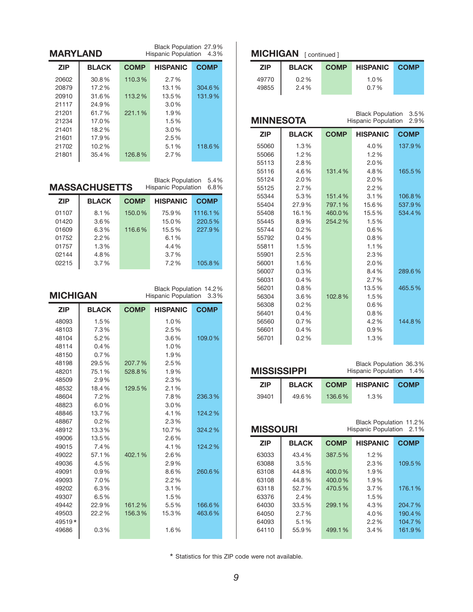| <b>MARYLAND</b>               |                      |             | Black Population 27.9%<br><b>Hispanic Population</b>  | 4.3%         |
|-------------------------------|----------------------|-------------|-------------------------------------------------------|--------------|
| <b>ZIP</b>                    | <b>BLACK</b>         | <b>COMP</b> | <b>HISPANIC</b>                                       | <b>COMP</b>  |
| 20602                         | 30.8%                | 110.3%      | 2.7%                                                  |              |
| 20879                         | 17.2%                |             | 13.1%                                                 | 304.6%       |
| 20910                         | 31.6%                | 113.2%      | 13.5%                                                 | 131.9%       |
| 21117                         | 24.9%                |             | 3.0%                                                  |              |
| 21201                         | 61.7%                | 221.1%      | 1.9%                                                  |              |
| 21234                         | 17.0%                |             | 1.5%                                                  |              |
| 21401                         | 18.2%                |             | 3.0%                                                  |              |
| 21601                         | 17.9%                |             | 2.5%                                                  |              |
| 21702                         | 10.2%                |             | 5.1%                                                  | 118.6%       |
| 21801                         | 35.4%                | 126.8%      | 2.7%                                                  |              |
|                               | <b>MASSACHUSETTS</b> |             | <b>Black Population</b><br><b>Hispanic Population</b> | 5.4%<br>6.8% |
| <b>ZIP</b>                    | <b>BLACK</b>         | <b>COMP</b> | <b>HISPANIC</b>                                       | <b>COMP</b>  |
|                               |                      |             |                                                       |              |
| 01107                         | 8.1%                 | 150.0%      | 75.9%                                                 | 1116.1%      |
| 01420                         | $3.6\%$              |             | 15.0%                                                 | 220.5%       |
| 01609                         | 6.3%                 | 116.6%      | 15.5%                                                 | 227.9%       |
| 01752                         | 2.2%                 |             | 6.1%                                                  |              |
| 01757                         | 1.3%                 |             | 4.4%                                                  |              |
| 02144                         | 4.8%                 |             | 3.7%                                                  |              |
| 02215                         | 3.7%                 |             | 7.2%                                                  | 105.8%       |
|                               |                      |             |                                                       |              |
|                               |                      |             | Black Population 14.2%                                |              |
|                               |                      |             | <b>Hispanic Population</b>                            | 3.3%         |
| <b>MICHIGAN</b><br><b>ZIP</b> | <b>BLACK</b>         | <b>COMP</b> | <b>HISPANIC</b>                                       | <b>COMP</b>  |
| 48093                         | 1.5%                 |             | 1.0%                                                  |              |
| 48103                         | 7.3%                 |             | 2.5%                                                  |              |
| 48104                         | 5.2%                 |             | 3.6%                                                  | 109.0%       |
| 48114                         | 0.4%                 |             | 1.0%                                                  |              |

 29.5% 207.7% 2.5% 75.1% 528.8% 1.9% 2.9% 2.3% 18.4% 129.5% 2.1%

6.0% 3.0%

0.2% 2.3%

13.5% 2.6%

 57.1% 402.1% 2.6% 4.5% 2.9%

 7.0% 2.2% 6.3% 3.1% 49307 6.5% 1.5%<br>49442 22.9% 161.2% 5.5%

49519 \* <mark>|</mark><br>49686 | 0.3 % 1.6 % | 1.6 %

7.2% 7.8% 236.3%

13.7% 4.1% 124.2%

13.3% 10.7% 324.2%

7.4% 4.1% 124.2%

0.9% 8.6% 260.6%

22.2% 156.3% 15.3% 463.6%

22.9% 161.2% 5.5% 166.6%

#### **MICHIGAN** [ continued ]

| <b>ZIP</b>     | <b>BLACK</b> | <b>COMP</b> | <b>HISPANIC</b>    | <b>COMP</b> |
|----------------|--------------|-------------|--------------------|-------------|
| 49770<br>49855 | 0.2%<br>2.4% |             | $1.0\%$<br>$0.7\%$ |             |

Black Population 3.5%

| <b>MINNESOTA</b> |              |             | Diack Diplomation 0.0 /0<br>Hispanic Population | 2.9%        |
|------------------|--------------|-------------|-------------------------------------------------|-------------|
| <b>ZIP</b>       | <b>BLACK</b> | <b>COMP</b> | <b>HISPANIC</b>                                 | <b>COMP</b> |
| 55060            | 1.3%         |             | 4.0%                                            | 137.9%      |
| 55066            | 1.2%         |             | 1.2%                                            |             |
| 55113            | 2.8%         |             | 2.0%                                            |             |
| 55116            | 4.6%         | 131.4%      | 4.8%                                            | 165.5%      |
| 55124            | 2.0%         |             | 2.0%                                            |             |
| 55125            | 2.7%         |             | 2.2%                                            |             |
| 55344            | 5.3%         | 151.4%      | 3.1%                                            | 106.8%      |
| 55404            | 27.9%        | 797.1%      | 15.6%                                           | 537.9%      |
| 55408            | 16.1%        | 460.0%      | 15.5%                                           | 534.4%      |
| 55445            | 8.9%         | 254.2%      | 1.5%                                            |             |
| 55744            | 0.2%         |             | 0.6%                                            |             |
| 55792            | 0.4%         |             | 0.8%                                            |             |
| 55811            | 1.5%         |             | 1.1%                                            |             |
| 55901            | 2.5%         |             | 2.3%                                            |             |
| 56001            | 1.6%         |             | 2.0%                                            |             |
| 56007            | 0.3%         |             | 8.4%                                            | 289.6%      |
| 56031            | 0.4%         |             | 2.7%                                            |             |
| 56201            | 0.8%         |             | 13.5%                                           | 465.5%      |
| 56304            | 3.6%         | 102.8%      | 1.5%                                            |             |
| 56308            | 0.2%         |             | 0.6%                                            |             |
| 56401            | 0.4%         |             | 0.8%                                            |             |
| 56560            | 0.7%         |             | 4.2%                                            | 144.8%      |
| 56601            | 0.4%         |             | 0.9%                                            |             |
| 56701            | 0.2%         |             | 1.3%                                            |             |

| MISSISSIPPI |              | Black Population 36.3%<br>Hispanic Population 1.4% |                 |             |
|-------------|--------------|----------------------------------------------------|-----------------|-------------|
| <b>ZIP</b>  | <b>BLACK</b> | <b>COMP</b>                                        | <b>HISPANIC</b> | <b>COMP</b> |
| 39401       | 49.6%        | 136.6%                                             | 1.3%            |             |

| Black Population 11.2%<br><b>MISSOURI</b><br>Hispanic Population 2.1% |              |             |                 |             |
|-----------------------------------------------------------------------|--------------|-------------|-----------------|-------------|
| <b>ZIP</b>                                                            | <b>BLACK</b> | <b>COMP</b> | <b>HISPANIC</b> | <b>COMP</b> |
| 63033                                                                 | 43.4%        | 387.5%      | $1.2\%$         |             |
| 63088                                                                 | $3.5\%$      |             | 2.3%            | 109.5%      |
| 63108                                                                 | 44.8%        | 400.0%      | 1.9%            |             |
| 63108                                                                 | 44.8%        | 400.0%      | 1.9%            |             |
| 63118                                                                 | 52.7%        | 470.5%      | $3.7\%$         | 176.1%      |
| 63376                                                                 | $2.4\%$      |             | 1.5%            |             |
| 64030                                                                 | 33.5%        | 299.1%      | 4.3%            | 204.7%      |
| 64050                                                                 | $2.7\%$      |             | 4.0%            | 190.4%      |
| 64093                                                                 | 5.1%         |             | 2.2%            | 104.7%      |
| 64110                                                                 | 55.9%        | 499.1%      | 3.4%            | 161.9%      |
|                                                                       |              |             |                 |             |

\* Statistics for this ZIP code were not available.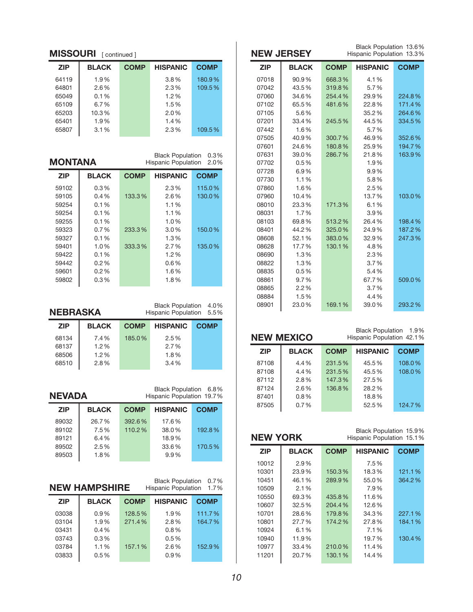#### **MISSOURI** [ continued ]

| <b>ZIP</b> | <b>BLACK</b> | <b>COMP</b> | <b>HISPANIC</b> | <b>COMP</b> |
|------------|--------------|-------------|-----------------|-------------|
| 64119      | 1.9%         |             | 3.8%            | 180.9%      |
| 64801      | 2.6%         |             | 2.3%            | 109.5%      |
| 65049      | 0.1%         |             | 1.2%            |             |
| 65109      | 6.7%         |             | 1.5%            |             |
| 65203      | 10.3%        |             | 2.0%            |             |
| 65401      | 1.9%         |             | 1.4%            |             |
| 65807      | 3.1%         |             | 2.3%            | 109.5%      |

| MONTANA    |              |             | <b>Black Population</b><br><b>Hispanic Population</b> | 0.3%<br>2.0% |
|------------|--------------|-------------|-------------------------------------------------------|--------------|
| <b>ZIP</b> | <b>BLACK</b> | <b>COMP</b> | <b>HISPANIC</b>                                       | <b>COMP</b>  |
| 59102      | $0.3\%$      |             | 2.3%                                                  | 115.0%       |
| 59105      | $0.4\%$      | 133.3%      | 2.6%                                                  | 130.0%       |
| 59254      | 0.1%         |             | 1.1%                                                  |              |
| 59254      | 0.1%         |             | 1.1%                                                  |              |
| 59255      | 0.1%         |             | 1.0%                                                  |              |
| 59323      | $0.7\%$      | 233.3%      | 3.0%                                                  | 150.0%       |
| 59327      | 0.1%         |             | 1.3%                                                  |              |
| 59401      | 1.0%         | 333.3%      | $2.7\%$                                               | 135.0%       |
| 59422      | 0.1%         |             | $1.2\%$                                               |              |
| 59442      | 0.2%         |             | $0.6\%$                                               |              |
| 59601      | 0.2%         |             | 1.6%                                                  |              |
| 59802      | $0.3\%$      |             | 1.8%                                                  |              |
|            |              |             |                                                       |              |

## **NeBraSKa**

Black Population 4.0% Hispanic Population 5.5%

| <b>ZIP</b> | <b>BLACK</b> | <b>COMP</b> | <b>HISPANIC</b> | <b>COMP</b> |
|------------|--------------|-------------|-----------------|-------------|
| 68134      | 7.4%         | 185.0%      | 2.5%            |             |
| 68137      | 1.2%         |             | $2.7\%$         |             |
| 68506      | $1.2\%$      |             | 1.8%            |             |
| 68510      | $2.8\%$      |             | $3.4\%$         |             |

### **Nevada**

Black Population 6.8% Hispanic Population 19.7%

| <b>ZIP</b> | <b>BLACK</b> | <b>COMP</b> | <b>HISPANIC</b> | <b>COMP</b> |
|------------|--------------|-------------|-----------------|-------------|
| 89032      | 26.7%        | 392.6%      | 17.6%           |             |
| 89102      | 7.5%         | 110.2%      | 38.0%           | 192.8%      |
| 89121      | 6.4%         |             | 18.9%           |             |
| 89502      | 2.5%         |             | 33.6%           | 170.5%      |
| 89503      | 1.8%         |             | 9.9%            |             |

| 0.7%<br><b>Black Population</b><br><b>NEW HAMPSHIRE</b><br><b>Hispanic Population</b><br>1.7% |              |             |                 |             |  |
|-----------------------------------------------------------------------------------------------|--------------|-------------|-----------------|-------------|--|
| <b>ZIP</b>                                                                                    | <b>BLACK</b> | <b>COMP</b> | <b>HISPANIC</b> | <b>COMP</b> |  |
| 03038                                                                                         | 0.9%         | 128.5%      | 1.9%            | 111.7%      |  |
| 03104                                                                                         | 1.9%         | 271.4%      | 2.8%            | 164.7%      |  |
| 03431                                                                                         | 0.4%         |             | 0.8%            |             |  |
| 03743                                                                                         | 0.3%         |             | 0.5%            |             |  |
| 03784                                                                                         | 1.1%         | 157.1%      | 2.6%            | 152.9%      |  |
| 03833                                                                                         | 0.5%         |             | 0.9%            |             |  |

|            | Black Population 13.6%<br><b>NEW JERSEY</b><br>Hispanic Population 13.3% |             |                 |             |
|------------|--------------------------------------------------------------------------|-------------|-----------------|-------------|
| <b>ZIP</b> | <b>BLACK</b>                                                             | <b>COMP</b> | <b>HISPANIC</b> | <b>COMP</b> |
| 07018      | 90.9%                                                                    | 668.3%      | 4.1%            |             |
| 07042      | 43.5%                                                                    | 319.8%      | 5.7%            |             |
| 07060      | 34.6%                                                                    | 254.4%      | 29.9%           | 224.8%      |
| 07102      | 65.5%                                                                    | 481.6%      | 22.8%           | 171.4%      |
| 07105      | 5.6%                                                                     |             | 35.2%           | 264.6%      |
| 07201      | 33.4%                                                                    | 245.5%      | 44.5%           | 334.5%      |
| 07442      | 1.6%                                                                     |             | 5.7%            |             |
| 07505      | 40.9%                                                                    | 300.7%      | 46.9%           | 352.6%      |
| 07601      | 24.6%                                                                    | 180.8%      | 25.9%           | 194.7%      |
| 07631      | 39.0%                                                                    | 286.7%      | 21.8%           | 163.9%      |
| 07702      | 0.5%                                                                     |             | 1.9%            |             |
| 07728      | 6.9%                                                                     |             | 9.9%            |             |
| 07730      | 1.1%                                                                     |             | 5.8%            |             |
| 07860      | 1.6%                                                                     |             | 2.5%            |             |
| 07960      | 10.4%                                                                    |             | 13.7%           | 103.0%      |
| 08010      | 23.3%                                                                    | 171.3%      | 6.1%            |             |
| 08031      | 1.7%                                                                     |             | 3.9%            |             |
| 08103      | 69.8%                                                                    | 513.2%      | 26.4%           | 198.4%      |
| 08401      | 44.2%                                                                    | 325.0%      | 24.9%           | 187.2%      |
| 08608      | 52.1%                                                                    | 383.0%      | 32.9%           | 247.3%      |
| 08628      | 17.7%                                                                    | 130.1%      | 4.8%            |             |
| 08690      | 1.3%                                                                     |             | 2.3%            |             |
| 08822      | 1.3%                                                                     |             | 3.7%            |             |
| 08835      | 0.5%                                                                     |             | 5.4%            |             |
| 08861      | 9.7%                                                                     |             | 67.7%           | 509.0%      |
| 08865      | 2.2%                                                                     |             | 3.7%            |             |
| 08884      | 1.5%                                                                     |             | 4.4%            |             |
| 08901      | 23.0%                                                                    | 169.1%      | 39.0%           | 293.2%      |

| <b>NEW MEXICO</b> |              |             | Black Population 1.9%<br>Hispanic Population 42.1% |             |
|-------------------|--------------|-------------|----------------------------------------------------|-------------|
| <b>ZIP</b>        | <b>BLACK</b> | <b>COMP</b> | <b>HISPANIC</b>                                    | <b>COMP</b> |
| 87108             | 4.4%         | 231.5%      | 45.5%                                              | 108.0%      |
| 87108             | 4.4%         | 231.5%      | 45.5%                                              | 108.0%      |
| 87112             | 2.8%         | 147.3%      | 27.5%                                              |             |
| 87124             | $2.6\%$      | 136.8%      | 28.2%                                              |             |
| 87401             | 0.8%         |             | 18.8%                                              |             |
| 87505             | 0.7%         |             | 52.5%                                              | 124.7%      |
|                   |              |             |                                                    |             |

Black Population 15.9% Hispanic Population 15.1%

| <b>ZIP</b> | <b>BLACK</b> | <b>COMP</b> | <b>HISPANIC</b> | <b>COMP</b> |
|------------|--------------|-------------|-----------------|-------------|
| 10012      | 2.9%         |             | 7.5%            |             |
| 10301      | 23.9%        | 150.3%      | 18.3%           | 121.1%      |
| 10451      | 46.1%        | 289.9%      | 55.0%           | 364.2%      |
| 10509      | 2.1%         |             | 7.9%            |             |
| 10550      | 69.3%        | 435.8%      | 11.6%           |             |
| 10607      | 32.5%        | 204.4%      | 12.6%           |             |
| 10701      | 28.6%        | 179.8%      | 34.3%           | 227.1%      |
| 10801      | 27.7%        | 174.2%      | 27.8%           | 184.1%      |
| 10924      | 6.1%         |             | 7.1%            |             |
| 10940      | 11.9%        |             | 19.7%           | 130.4%      |
| 10977      | 33.4%        | 210.0%      | 11.4%           |             |
| 11201      | 20.7%        | 130.1%      | 14.4%           |             |
|            |              |             |                 |             |

**New yorK**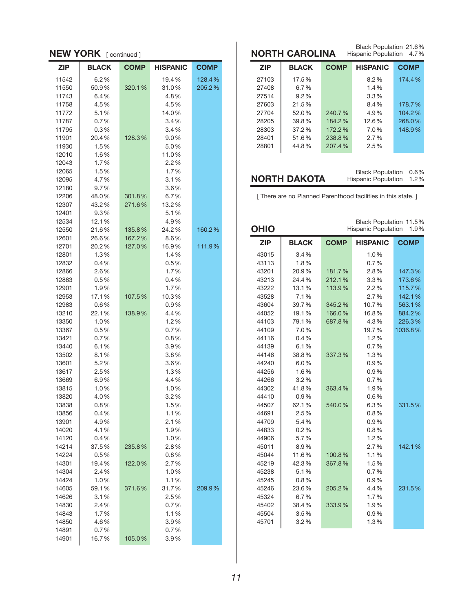| <b>NEW YORK</b> [continued] |               |             |                 |             |
|-----------------------------|---------------|-------------|-----------------|-------------|
| <b>ZIP</b>                  | <b>BLACK</b>  | <b>COMP</b> | <b>HISPANIC</b> | <b>COMP</b> |
| 11542                       | 6.2%          |             | 19.4%           | 128.4%      |
| 11550                       | 50.9%         | 320.1%      | 31.0%           | 205.2%      |
| 11743                       | 6.4%          |             | 4.8%            |             |
| 11758                       | 4.5%          |             | 4.5%            |             |
| 11772                       | 5.1%          |             | 14.0%           |             |
| 11787                       | 0.7%          |             | 3.4%            |             |
| 11795                       | $0.3\%$       |             | 3.4%            |             |
| 11901                       | 20.4%         | 128.3%      | 9.0%            |             |
| 11930                       | 1.5%          |             | 5.0%            |             |
| 12010                       | 1.6%          |             | 11.0%           |             |
| 12043                       | 1.7%          |             | 2.2%            |             |
| 12065                       | 1.5%          |             | 1.7%            |             |
| 12095                       | 4.7%<br>9.7%  |             | 3.1%<br>3.6%    |             |
| 12180<br>12206              | 48.0%         | 301.8%      | 6.7%            |             |
| 12307                       | 43.2%         | 271.6%      | 13.2%           |             |
| 12401                       | 9.3%          |             | 5.1%            |             |
| 12534                       | 12.1%         |             | 4.9%            |             |
| 12550                       | 21.6%         | 135.8%      | 24.2%           | 160.2%      |
| 12601                       | 26.6%         | 167.2%      | 8.6%            |             |
| 12701                       | 20.2%         | 127.0%      | 16.9%           | 111.9%      |
| 12801                       | 1.3%          |             | 1.4%            |             |
| 12832                       | 0.4%          |             | 0.5%            |             |
| 12866                       | 2.6%          |             | 1.7%            |             |
| 12883                       | 0.5%          |             | 0.4%            |             |
| 12901                       | 1.9%          |             | 1.7%            |             |
| 12953                       | 17.1%         | 107.5%      | 10.3%           |             |
| 12983                       | $0.6\%$       |             | $0.9\%$         |             |
| 13210                       | 22.1%         | 138.9%      | 4.4%            |             |
| 13350                       | 1.0%          |             | $1.2\%$         |             |
| 13367                       | 0.5%          |             | 0.7%            |             |
| 13421                       | 0.7%          |             | $0.8\%$         |             |
| 13440                       | 6.1%          |             | 3.9%            |             |
| 13502                       | 8.1%          |             | $3.8\%$         |             |
| 13601<br>13617              | 5.2%<br>2.5%  |             | 3.6%<br>1.3%    |             |
| 13669                       | 6.9%          |             | 4.4%            |             |
| 13815                       | 1.0%          |             | 1.0%            |             |
| 13820                       | 4.0%          |             | 3.2%            |             |
| 13838                       | $0.8\%$       |             | 1.5%            |             |
| 13856                       | 0.4%          |             | 1.1%            |             |
| 13901                       | 4.9%          |             | 2.1%            |             |
| 14020                       | 4.1%          |             | 1.9%            |             |
| 14120                       | $0.4\%$       |             | 1.0%            |             |
| 14214                       | 37.5 %        | 235.8%      | 2.8%            |             |
| 14224                       | 0.5%          |             | 0.8%            |             |
| 14301                       | 19.4%         | 122.0%      | 2.7%            |             |
| 14304                       | 2.4%          |             | 1.0%            |             |
| 14424                       | 1.0%          |             | 1.1%            |             |
| 14605                       | 59.1%         | 371.6%      | 31.7%           | 209.9%      |
| 14626                       | 3.1%          |             | 2.5%            |             |
| 14830                       | 2.4%          |             | 0.7%            |             |
| 14843                       | 1.7%          |             | 1.1%            |             |
| 14850                       | 4.6%          |             | 3.9%            |             |
| 14891<br>14901              | 0.7%<br>16.7% |             | 0.7%<br>3.9%    |             |
|                             |               | 105.0%      |                 |             |

| Black Population 21.6%<br>NORTH CAROLINA<br>Hispanic Population<br>4.7% |              |             |                 |             |
|-------------------------------------------------------------------------|--------------|-------------|-----------------|-------------|
| <b>ZIP</b>                                                              | <b>BLACK</b> | <b>COMP</b> | <b>HISPANIC</b> | <b>COMP</b> |
| 27103                                                                   | 17.5%        |             | $8.2\%$         | 174.4%      |
| 27408                                                                   | 6.7%         |             | $1.4\%$         |             |
| 27514                                                                   | $9.2\%$      |             | $3.3\%$         |             |
| 27603                                                                   | 21.5%        |             | 8.4%            | 178.7%      |
| 27704                                                                   | 52.0%        | 240.7%      | 4.9%            | 104.2%      |
| 28205                                                                   | 39.8%        | 184.2%      | 12.6%           | 268.0%      |
| 28303                                                                   | 37.2%        | 172.2%      | 7.0%            | 148.9%      |
| 28401                                                                   | 51.6%        | 238.8%      | $2.7\%$         |             |
| 28801                                                                   | 44.8%        | 207.4%      | 2.5%            |             |
|                                                                         |              |             |                 |             |

**north dakota**

Hispanic Population 1.2%

[ There are no Planned Parenthood facilities in this state. ]

| <b>OHIO</b> |              |             | Black Population 11.5%<br>Hispanic Population | 1.9%        |
|-------------|--------------|-------------|-----------------------------------------------|-------------|
| <b>ZIP</b>  | <b>BLACK</b> | <b>COMP</b> | <b>HISPANIC</b>                               | <b>COMP</b> |
| 43015       | 3.4%         |             | 1.0%                                          |             |
| 43113       | 1.8%         |             | 0.7%                                          |             |
| 43201       | 20.9%        | 181.7%      | 2.8%                                          | 147.3%      |
| 43213       | 24.4%        | 212.1%      | 3.3%                                          | 173.6%      |
| 43222       | 13.1%        | 113.9%      | 2.2%                                          | 115.7%      |
| 43528       | 7.1%         |             | 2.7%                                          | 142.1%      |
| 43604       | 39.7%        | 345.2%      | 10.7%                                         | 563.1%      |
| 44052       | 19.1%        | 166.0%      | 16.8%                                         | 884.2%      |
| 44103       | 79.1%        | 687.8%      | 4.3%                                          | 226.3%      |
| 44109       | 7.0%         |             | 19.7%                                         | 1036.8%     |
| 44116       | 0.4%         |             | 1.2%                                          |             |
| 44139       | 6.1%         |             | 0.7%                                          |             |
| 44146       | 38.8%        | 337.3%      | 1.3%                                          |             |
| 44240       | 6.0%         |             | 0.9%                                          |             |
| 44256       | 1.6%         |             | 0.9%                                          |             |
| 44266       | 3.2%         |             | 0.7%                                          |             |
| 44302       | 41.8%        | 363.4%      | 1.9%                                          |             |
| 44410       | 0.9%         |             | 0.6%                                          |             |
| 44507       | 62.1%        | 540.0%      | 6.3%                                          | 331.5%      |
| 44691       | 2.5%         |             | 0.8%                                          |             |
| 44709       | 5.4%         |             | 0.9%                                          |             |
| 44833       | 0.2%         |             | 0.8%                                          |             |
| 44906       | 5.7%         |             | 1.2%                                          |             |
| 45011       | 8.9%         |             | 2.7%                                          | 142.1%      |
| 45044       | 11.6%        | 100.8%      | 1.1%                                          |             |
| 45219       | 42.3%        | 367.8%      | 1.5%                                          |             |
| 45238       | 5.1%         |             | 0.7%                                          |             |
| 45245       | 0.8%         |             | 0.9%                                          |             |
| 45246       | 23.6%        | 205.2%      | 4.4%                                          | 231.5%      |
| 45324       | 6.7%         |             | 1.7%                                          |             |
| 45402       | 38.4%        | 333.9%      | 1.9%                                          |             |
| 45504       | 3.5%         |             | 0.9%                                          |             |
| 45701       | 3.2%         |             | 1.3%                                          |             |

Black Population 0.6%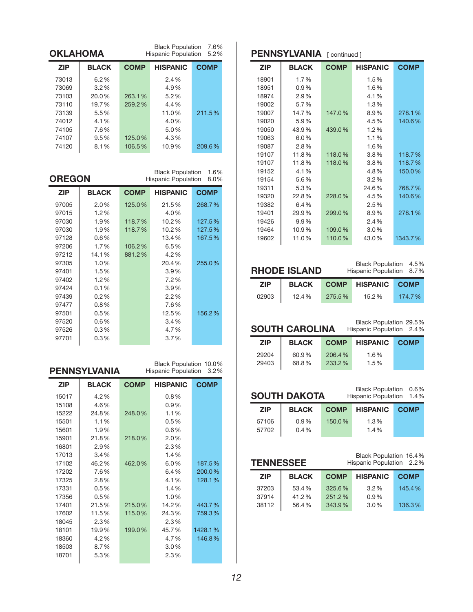|            | 7.6%<br><b>Black Population</b><br>OKLAHOMA<br><b>Hispanic Population</b><br>5.2% |             |                 |             |  |
|------------|-----------------------------------------------------------------------------------|-------------|-----------------|-------------|--|
| <b>ZIP</b> | <b>BLACK</b>                                                                      | <b>COMP</b> | <b>HISPANIC</b> | <b>COMP</b> |  |
| 73013      | $6.2\%$                                                                           |             | 2.4%            |             |  |
| 73069      | 3.2%                                                                              |             | 4.9%            |             |  |
| 73103      | 20.0%                                                                             | 263.1%      | 5.2%            |             |  |
| 73110      | 19.7%                                                                             | 259.2%      | 4.4%            |             |  |
| 73139      | 5.5%                                                                              |             | 11.0%           | 211.5%      |  |
| 74012      | 4.1%                                                                              |             | 4.0%            |             |  |
| 74105      | 7.6%                                                                              |             | 5.0%            |             |  |
| 74107      | 9.5%                                                                              | 125.0%      | 4.3%            |             |  |
| 74120      | 8.1%                                                                              | 106.5%      | 10.9%           | 209.6%      |  |

**oregon**

Black Population 1.6% Hispanic Population 8.0%

Black Population 10.0%

| <b>ZIP</b> | <b>BLACK</b> | <b>COMP</b> | <b>HISPANIC</b> | <b>COMP</b> |
|------------|--------------|-------------|-----------------|-------------|
| 97005      | 2.0%         | 125.0%      | 21.5%           | 268.7%      |
| 97015      | 1.2%         |             | 4.0%            |             |
| 97030      | 1.9%         | 118.7%      | 10.2%           | 127.5%      |
| 97030      | 1.9%         | 118.7%      | 10.2%           | 127.5%      |
| 97128      | $0.6\%$      |             | 13.4%           | 167.5%      |
| 97206      | 1.7%         | 106.2%      | 6.5%            |             |
| 97212      | 14.1%        | 881.2%      | 4.2%            |             |
| 97305      | 1.0%         |             | 20.4%           | 255.0%      |
| 97401      | 1.5%         |             | 3.9%            |             |
| 97402      | 1.2%         |             | 7.2%            |             |
| 97424      | 0.1%         |             | 3.9%            |             |
| 97439      | 0.2%         |             | 2.2%            |             |
| 97477      | $0.8\%$      |             | 7.6%            |             |
| 97501      | 0.5%         |             | 12.5%           | 156.2%      |
| 97520      | $0.6\%$      |             | 3.4%            |             |
| 97526      | $0.3\%$      |             | 4.7%            |             |
| 97701      | $0.3\%$      |             | 3.7%            |             |

|            | <b>PENNSYLVANIA</b> |             | DIACK FUDUIATION 10.0%<br><b>Hispanic Population</b> | 3.2%        |  |
|------------|---------------------|-------------|------------------------------------------------------|-------------|--|
| <b>ZIP</b> | <b>BLACK</b>        | <b>COMP</b> | <b>HISPANIC</b>                                      | <b>COMP</b> |  |
| 15017      | 4.2%                |             | 0.8%                                                 |             |  |
| 15108      | 4.6%                |             | 0.9%                                                 |             |  |
| 15222      | 24.8%               | 248.0%      | 1.1%                                                 |             |  |
| 15501      | 1.1%                |             | 0.5%                                                 |             |  |
| 15601      | 1.9%                |             | 0.6%                                                 |             |  |
| 15901      | 21.8%               | 218.0%      | 2.0%                                                 |             |  |
| 16801      | 2.9%                |             | 2.3%                                                 |             |  |
| 17013      | 3.4%                |             | 1.4%                                                 |             |  |
| 17102      | 46.2%               | 462.0%      | 6.0%                                                 | 187.5%      |  |
| 17202      | 7.6%                |             | 6.4%                                                 | 200.0%      |  |
| 17325      | 2.8%                |             | 4.1%                                                 | 128.1%      |  |
| 17331      | 0.5%                |             | 1.4%                                                 |             |  |
| 17356      | 0.5%                |             | 1.0%                                                 |             |  |
| 17401      | 21.5%               | 215.0%      | 14.2%                                                | 443.7%      |  |
| 17602      | 11.5%               | 115.0%      | 24.3%                                                | 759.3%      |  |
| 18045      | 2.3%                |             | 2.3%                                                 |             |  |
| 18101      | 19.9%               | 199.0%      | 45.7%                                                | 1428.1%     |  |
| 18360      | 4.2%                |             | 4.7%                                                 | 146.8%      |  |
| 18503      | 8.7%                |             | 3.0%                                                 |             |  |
| 18701      | 5.3%                |             | 2.3%                                                 |             |  |

#### **PENNSYLVANIA** [ continued ]

| <b>ZIP</b> | <b>BLACK</b> | <b>COMP</b> | <b>HISPANIC</b> | <b>COMP</b> |
|------------|--------------|-------------|-----------------|-------------|
| 18901      | 1.7%         |             | 1.5%            |             |
| 18951      | $0.9\%$      |             | 1.6%            |             |
| 18974      | 2.9%         |             | 4.1%            |             |
| 19002      | 5.7%         |             | 1.3%            |             |
| 19007      | 14.7%        | 147.0%      | 8.9%            | 278.1%      |
| 19020      | 5.9%         |             | 4.5%            | 140.6%      |
| 19050      | 43.9%        | 439.0%      | 1.2%            |             |
| 19063      | 6.0%         |             | 1.1%            |             |
| 19087      | 2.8%         |             | 1.6%            |             |
| 19107      | 11.8%        | 118.0%      | $3.8\%$         | 118.7%      |
| 19107      | 11.8%        | 118.0%      | $3.8\%$         | 118.7%      |
| 19152      | 4.1%         |             | 4.8%            | 150.0%      |
| 19154      | 5.6%         |             | $3.2\%$         |             |
| 19311      | 5.3%         |             | 24.6%           | 768.7%      |
| 19320      | 22.8%        | 228.0%      | 4.5%            | 140.6%      |
| 19382      | 6.4%         |             | 2.5%            |             |
| 19401      | 29.9%        | 299.0%      | 8.9%            | 278.1%      |
| 19426      | 9.9%         |             | 2.4%            |             |
| 19464      | 10.9%        | 109.0%      | $3.0\%$         |             |
| 19602      | 11.0%        | 110.0%      | 43.0%           | 1343.7%     |

**rhode iSLand**

Black Population 4.5% Hispanic Population 8.7%

| <b>ZIP</b> | <b>BLACK</b> |        | <b>COMP HISPANIC COMP</b> |        |
|------------|--------------|--------|---------------------------|--------|
| 02903      | 12.4%        | 275.5% | 15.2%                     | 174.7% |

# **South CaroLina**

Black Population 29.5% Hispanic Population 2.4%

Black Population 0.6% Hispanic Population 1.4%

| <b>ZIP</b> | <b>BLACK</b> | <b>COMP</b> | <b>HISPANIC</b> | <b>COMP</b> |
|------------|--------------|-------------|-----------------|-------------|
| 29204      | 60.9%        | 206.4%      | 1.6%            |             |
| 29403      | 68.8%        | 233.2%      | 1.5%            |             |

## **South dakota**

| <b>ZIP</b> | <b>BLACK</b> | <b>COMP</b> | <b>HISPANIC</b> | <b>COMP</b> |
|------------|--------------|-------------|-----------------|-------------|
| 57106      | $0.9\%$      | 150.0%      | 1.3%            |             |
| 57702      | $0.4\%$      |             | $1.4\%$         |             |

| Black Population 16.4%<br><b>TENNESSEE</b><br>Hispanic Population 2.2% |              |             |                 |             |
|------------------------------------------------------------------------|--------------|-------------|-----------------|-------------|
| <b>ZIP</b>                                                             | <b>BLACK</b> | <b>COMP</b> | <b>HISPANIC</b> | <b>COMP</b> |
| 37203                                                                  | 53.4%        | 325.6%      | 3.2%            | 145.4%      |
| 37914                                                                  | 41.2%        | 251.2%      | 0.9%            |             |
| 38112                                                                  | 56.4%        | 343.9%      | 3.0%            | 136.3%      |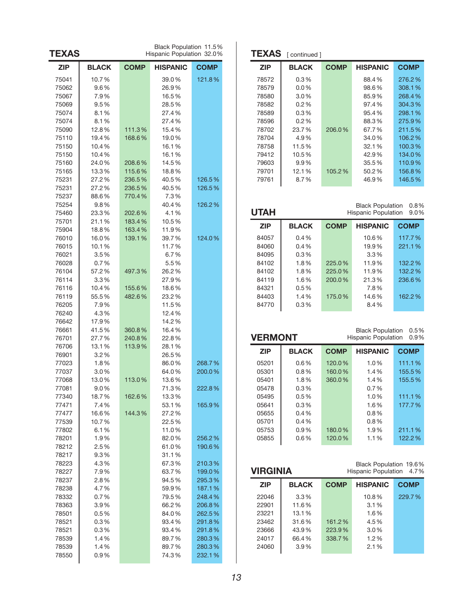| <b>ZIP</b><br><b>BLACK</b><br><b>COMP</b><br>HISPANIC<br><b>COMP</b><br>10.7%<br>121.8%<br>75041<br>39.0%<br>75062<br>9.6%<br>26.9%<br>16.5%<br>75067<br>7.9%<br>75069<br>9.5%<br>28.5%<br>75074<br>8.1%<br>27.4%<br>75074<br>8.1%<br>27.4%<br>75090<br>12.8%<br>111.3%<br>15.4%<br>75110<br>19.4%<br>168.6%<br>19.0%<br>75150<br>10.4%<br>16.1%<br>75150<br>10.4%<br>16.1%<br>75160<br>24.0%<br>208.6%<br>14.5%<br>75165<br>13.3%<br>115.6%<br>18.8%<br>27.2%<br>40.5%<br>75231<br>236.5%<br>126.5%<br>75231<br>27.2%<br>236.5%<br>40.5%<br>126.5%<br>75237<br>88.6%<br>770.4%<br>7.3%<br>75254<br>9.8%<br>40.4%<br>126.2%<br>75460<br>23.3%<br>202.6%<br>4.1%<br>10.5%<br>75701<br>21.1%<br>183.4%<br>75904<br>18.8%<br>163.4%<br>11.9%<br>124.0%<br>76010<br>16.0%<br>139.1%<br>39.7%<br>76015<br>10.1%<br>11.7%<br>76021<br>3.5%<br>6.7%<br>0.7%<br>5.5%<br>76028<br>76104<br>57.2%<br>497.3%<br>26.2%<br>76114<br>3.3%<br>27.9%<br>76116<br>10.4%<br>155.6%<br>18.6%<br>76119<br>55.5%<br>482.6%<br>23.2%<br>7.9%<br>11.5%<br>76205<br>76240<br>4.3%<br>12.4%<br>17.9%<br>76642<br>14.2%<br>76661<br>41.5%<br>360.8%<br>16.4%<br>76701<br>27.7%<br>240.8%<br>22.8%<br>76706<br>13.1%<br>113.9%<br>28.1%<br>76901<br>3.2%<br>26.5%<br>1.8%<br>86.0%<br>268.7%<br>77023<br>77037<br>3.0%<br>64.0%<br>200.0%<br>77068<br>13.0%<br>113.0%<br>13.6%<br>9.0%<br>71.3%<br>77081<br>222.8%<br>77340<br>18.7%<br>162.6%<br>13.3%<br>7.4%<br>165.9%<br>77471<br>53.1%<br>144.3%<br>16.6%<br>27.2 %<br>77477<br>77539<br>10.7%<br>22.5%<br>6.1%<br>11.0%<br>77802<br>1.9%<br>82.0%<br>78201<br>256.2%<br>2.5%<br>78212<br>61.0%<br>190.6%<br>78217<br>9.3%<br>31.1%<br>78223<br>4.3%<br>67.3%<br>210.3%<br>7.9%<br>63.7%<br>199.0%<br>78227<br>94.5%<br>78237<br>2.8%<br>295.3%<br>4.7%<br>78238<br>59.9%<br>187.1%<br>0.7%<br>79.5%<br>248.4%<br>78332<br>78363<br>$3.9\%$<br>66.2%<br>206.8%<br>$0.5\,\%$<br>84.0%<br>262.5%<br>78501<br>93.4%<br>78521<br>$0.3\,\%$<br>291.8%<br>78521<br>0.3%<br>93.4%<br>291.8%<br>78539<br>1.4%<br>89.7%<br>280.3%<br>280.3%<br>78539<br>1.4%<br>89.7%<br>78550<br>0.9%<br>74.3%<br>232.1% | <b>TEXAS</b> | Black Population 11.5%<br>Hispanic Population 32.0% |  |  |  |
|----------------------------------------------------------------------------------------------------------------------------------------------------------------------------------------------------------------------------------------------------------------------------------------------------------------------------------------------------------------------------------------------------------------------------------------------------------------------------------------------------------------------------------------------------------------------------------------------------------------------------------------------------------------------------------------------------------------------------------------------------------------------------------------------------------------------------------------------------------------------------------------------------------------------------------------------------------------------------------------------------------------------------------------------------------------------------------------------------------------------------------------------------------------------------------------------------------------------------------------------------------------------------------------------------------------------------------------------------------------------------------------------------------------------------------------------------------------------------------------------------------------------------------------------------------------------------------------------------------------------------------------------------------------------------------------------------------------------------------------------------------------------------------------------------------------------------------------------------------------------------------------------------------------------------------------------------------------------------------------------------------------------------------------------------------------------------------------------------------------------------|--------------|-----------------------------------------------------|--|--|--|
|                                                                                                                                                                                                                                                                                                                                                                                                                                                                                                                                                                                                                                                                                                                                                                                                                                                                                                                                                                                                                                                                                                                                                                                                                                                                                                                                                                                                                                                                                                                                                                                                                                                                                                                                                                                                                                                                                                                                                                                                                                                                                                                            |              |                                                     |  |  |  |
|                                                                                                                                                                                                                                                                                                                                                                                                                                                                                                                                                                                                                                                                                                                                                                                                                                                                                                                                                                                                                                                                                                                                                                                                                                                                                                                                                                                                                                                                                                                                                                                                                                                                                                                                                                                                                                                                                                                                                                                                                                                                                                                            |              |                                                     |  |  |  |
|                                                                                                                                                                                                                                                                                                                                                                                                                                                                                                                                                                                                                                                                                                                                                                                                                                                                                                                                                                                                                                                                                                                                                                                                                                                                                                                                                                                                                                                                                                                                                                                                                                                                                                                                                                                                                                                                                                                                                                                                                                                                                                                            |              |                                                     |  |  |  |
|                                                                                                                                                                                                                                                                                                                                                                                                                                                                                                                                                                                                                                                                                                                                                                                                                                                                                                                                                                                                                                                                                                                                                                                                                                                                                                                                                                                                                                                                                                                                                                                                                                                                                                                                                                                                                                                                                                                                                                                                                                                                                                                            |              |                                                     |  |  |  |
|                                                                                                                                                                                                                                                                                                                                                                                                                                                                                                                                                                                                                                                                                                                                                                                                                                                                                                                                                                                                                                                                                                                                                                                                                                                                                                                                                                                                                                                                                                                                                                                                                                                                                                                                                                                                                                                                                                                                                                                                                                                                                                                            |              |                                                     |  |  |  |
|                                                                                                                                                                                                                                                                                                                                                                                                                                                                                                                                                                                                                                                                                                                                                                                                                                                                                                                                                                                                                                                                                                                                                                                                                                                                                                                                                                                                                                                                                                                                                                                                                                                                                                                                                                                                                                                                                                                                                                                                                                                                                                                            |              |                                                     |  |  |  |
|                                                                                                                                                                                                                                                                                                                                                                                                                                                                                                                                                                                                                                                                                                                                                                                                                                                                                                                                                                                                                                                                                                                                                                                                                                                                                                                                                                                                                                                                                                                                                                                                                                                                                                                                                                                                                                                                                                                                                                                                                                                                                                                            |              |                                                     |  |  |  |
|                                                                                                                                                                                                                                                                                                                                                                                                                                                                                                                                                                                                                                                                                                                                                                                                                                                                                                                                                                                                                                                                                                                                                                                                                                                                                                                                                                                                                                                                                                                                                                                                                                                                                                                                                                                                                                                                                                                                                                                                                                                                                                                            |              |                                                     |  |  |  |
|                                                                                                                                                                                                                                                                                                                                                                                                                                                                                                                                                                                                                                                                                                                                                                                                                                                                                                                                                                                                                                                                                                                                                                                                                                                                                                                                                                                                                                                                                                                                                                                                                                                                                                                                                                                                                                                                                                                                                                                                                                                                                                                            |              |                                                     |  |  |  |
|                                                                                                                                                                                                                                                                                                                                                                                                                                                                                                                                                                                                                                                                                                                                                                                                                                                                                                                                                                                                                                                                                                                                                                                                                                                                                                                                                                                                                                                                                                                                                                                                                                                                                                                                                                                                                                                                                                                                                                                                                                                                                                                            |              |                                                     |  |  |  |
|                                                                                                                                                                                                                                                                                                                                                                                                                                                                                                                                                                                                                                                                                                                                                                                                                                                                                                                                                                                                                                                                                                                                                                                                                                                                                                                                                                                                                                                                                                                                                                                                                                                                                                                                                                                                                                                                                                                                                                                                                                                                                                                            |              |                                                     |  |  |  |
|                                                                                                                                                                                                                                                                                                                                                                                                                                                                                                                                                                                                                                                                                                                                                                                                                                                                                                                                                                                                                                                                                                                                                                                                                                                                                                                                                                                                                                                                                                                                                                                                                                                                                                                                                                                                                                                                                                                                                                                                                                                                                                                            |              |                                                     |  |  |  |
|                                                                                                                                                                                                                                                                                                                                                                                                                                                                                                                                                                                                                                                                                                                                                                                                                                                                                                                                                                                                                                                                                                                                                                                                                                                                                                                                                                                                                                                                                                                                                                                                                                                                                                                                                                                                                                                                                                                                                                                                                                                                                                                            |              |                                                     |  |  |  |
|                                                                                                                                                                                                                                                                                                                                                                                                                                                                                                                                                                                                                                                                                                                                                                                                                                                                                                                                                                                                                                                                                                                                                                                                                                                                                                                                                                                                                                                                                                                                                                                                                                                                                                                                                                                                                                                                                                                                                                                                                                                                                                                            |              |                                                     |  |  |  |
|                                                                                                                                                                                                                                                                                                                                                                                                                                                                                                                                                                                                                                                                                                                                                                                                                                                                                                                                                                                                                                                                                                                                                                                                                                                                                                                                                                                                                                                                                                                                                                                                                                                                                                                                                                                                                                                                                                                                                                                                                                                                                                                            |              |                                                     |  |  |  |
|                                                                                                                                                                                                                                                                                                                                                                                                                                                                                                                                                                                                                                                                                                                                                                                                                                                                                                                                                                                                                                                                                                                                                                                                                                                                                                                                                                                                                                                                                                                                                                                                                                                                                                                                                                                                                                                                                                                                                                                                                                                                                                                            |              |                                                     |  |  |  |
|                                                                                                                                                                                                                                                                                                                                                                                                                                                                                                                                                                                                                                                                                                                                                                                                                                                                                                                                                                                                                                                                                                                                                                                                                                                                                                                                                                                                                                                                                                                                                                                                                                                                                                                                                                                                                                                                                                                                                                                                                                                                                                                            |              |                                                     |  |  |  |
|                                                                                                                                                                                                                                                                                                                                                                                                                                                                                                                                                                                                                                                                                                                                                                                                                                                                                                                                                                                                                                                                                                                                                                                                                                                                                                                                                                                                                                                                                                                                                                                                                                                                                                                                                                                                                                                                                                                                                                                                                                                                                                                            |              |                                                     |  |  |  |
|                                                                                                                                                                                                                                                                                                                                                                                                                                                                                                                                                                                                                                                                                                                                                                                                                                                                                                                                                                                                                                                                                                                                                                                                                                                                                                                                                                                                                                                                                                                                                                                                                                                                                                                                                                                                                                                                                                                                                                                                                                                                                                                            |              |                                                     |  |  |  |
|                                                                                                                                                                                                                                                                                                                                                                                                                                                                                                                                                                                                                                                                                                                                                                                                                                                                                                                                                                                                                                                                                                                                                                                                                                                                                                                                                                                                                                                                                                                                                                                                                                                                                                                                                                                                                                                                                                                                                                                                                                                                                                                            |              |                                                     |  |  |  |
|                                                                                                                                                                                                                                                                                                                                                                                                                                                                                                                                                                                                                                                                                                                                                                                                                                                                                                                                                                                                                                                                                                                                                                                                                                                                                                                                                                                                                                                                                                                                                                                                                                                                                                                                                                                                                                                                                                                                                                                                                                                                                                                            |              |                                                     |  |  |  |
|                                                                                                                                                                                                                                                                                                                                                                                                                                                                                                                                                                                                                                                                                                                                                                                                                                                                                                                                                                                                                                                                                                                                                                                                                                                                                                                                                                                                                                                                                                                                                                                                                                                                                                                                                                                                                                                                                                                                                                                                                                                                                                                            |              |                                                     |  |  |  |
|                                                                                                                                                                                                                                                                                                                                                                                                                                                                                                                                                                                                                                                                                                                                                                                                                                                                                                                                                                                                                                                                                                                                                                                                                                                                                                                                                                                                                                                                                                                                                                                                                                                                                                                                                                                                                                                                                                                                                                                                                                                                                                                            |              |                                                     |  |  |  |
|                                                                                                                                                                                                                                                                                                                                                                                                                                                                                                                                                                                                                                                                                                                                                                                                                                                                                                                                                                                                                                                                                                                                                                                                                                                                                                                                                                                                                                                                                                                                                                                                                                                                                                                                                                                                                                                                                                                                                                                                                                                                                                                            |              |                                                     |  |  |  |
|                                                                                                                                                                                                                                                                                                                                                                                                                                                                                                                                                                                                                                                                                                                                                                                                                                                                                                                                                                                                                                                                                                                                                                                                                                                                                                                                                                                                                                                                                                                                                                                                                                                                                                                                                                                                                                                                                                                                                                                                                                                                                                                            |              |                                                     |  |  |  |
|                                                                                                                                                                                                                                                                                                                                                                                                                                                                                                                                                                                                                                                                                                                                                                                                                                                                                                                                                                                                                                                                                                                                                                                                                                                                                                                                                                                                                                                                                                                                                                                                                                                                                                                                                                                                                                                                                                                                                                                                                                                                                                                            |              |                                                     |  |  |  |
|                                                                                                                                                                                                                                                                                                                                                                                                                                                                                                                                                                                                                                                                                                                                                                                                                                                                                                                                                                                                                                                                                                                                                                                                                                                                                                                                                                                                                                                                                                                                                                                                                                                                                                                                                                                                                                                                                                                                                                                                                                                                                                                            |              |                                                     |  |  |  |
|                                                                                                                                                                                                                                                                                                                                                                                                                                                                                                                                                                                                                                                                                                                                                                                                                                                                                                                                                                                                                                                                                                                                                                                                                                                                                                                                                                                                                                                                                                                                                                                                                                                                                                                                                                                                                                                                                                                                                                                                                                                                                                                            |              |                                                     |  |  |  |
|                                                                                                                                                                                                                                                                                                                                                                                                                                                                                                                                                                                                                                                                                                                                                                                                                                                                                                                                                                                                                                                                                                                                                                                                                                                                                                                                                                                                                                                                                                                                                                                                                                                                                                                                                                                                                                                                                                                                                                                                                                                                                                                            |              |                                                     |  |  |  |
|                                                                                                                                                                                                                                                                                                                                                                                                                                                                                                                                                                                                                                                                                                                                                                                                                                                                                                                                                                                                                                                                                                                                                                                                                                                                                                                                                                                                                                                                                                                                                                                                                                                                                                                                                                                                                                                                                                                                                                                                                                                                                                                            |              |                                                     |  |  |  |
|                                                                                                                                                                                                                                                                                                                                                                                                                                                                                                                                                                                                                                                                                                                                                                                                                                                                                                                                                                                                                                                                                                                                                                                                                                                                                                                                                                                                                                                                                                                                                                                                                                                                                                                                                                                                                                                                                                                                                                                                                                                                                                                            |              |                                                     |  |  |  |
|                                                                                                                                                                                                                                                                                                                                                                                                                                                                                                                                                                                                                                                                                                                                                                                                                                                                                                                                                                                                                                                                                                                                                                                                                                                                                                                                                                                                                                                                                                                                                                                                                                                                                                                                                                                                                                                                                                                                                                                                                                                                                                                            |              |                                                     |  |  |  |
|                                                                                                                                                                                                                                                                                                                                                                                                                                                                                                                                                                                                                                                                                                                                                                                                                                                                                                                                                                                                                                                                                                                                                                                                                                                                                                                                                                                                                                                                                                                                                                                                                                                                                                                                                                                                                                                                                                                                                                                                                                                                                                                            |              |                                                     |  |  |  |
|                                                                                                                                                                                                                                                                                                                                                                                                                                                                                                                                                                                                                                                                                                                                                                                                                                                                                                                                                                                                                                                                                                                                                                                                                                                                                                                                                                                                                                                                                                                                                                                                                                                                                                                                                                                                                                                                                                                                                                                                                                                                                                                            |              |                                                     |  |  |  |
|                                                                                                                                                                                                                                                                                                                                                                                                                                                                                                                                                                                                                                                                                                                                                                                                                                                                                                                                                                                                                                                                                                                                                                                                                                                                                                                                                                                                                                                                                                                                                                                                                                                                                                                                                                                                                                                                                                                                                                                                                                                                                                                            |              |                                                     |  |  |  |
|                                                                                                                                                                                                                                                                                                                                                                                                                                                                                                                                                                                                                                                                                                                                                                                                                                                                                                                                                                                                                                                                                                                                                                                                                                                                                                                                                                                                                                                                                                                                                                                                                                                                                                                                                                                                                                                                                                                                                                                                                                                                                                                            |              |                                                     |  |  |  |
|                                                                                                                                                                                                                                                                                                                                                                                                                                                                                                                                                                                                                                                                                                                                                                                                                                                                                                                                                                                                                                                                                                                                                                                                                                                                                                                                                                                                                                                                                                                                                                                                                                                                                                                                                                                                                                                                                                                                                                                                                                                                                                                            |              |                                                     |  |  |  |
|                                                                                                                                                                                                                                                                                                                                                                                                                                                                                                                                                                                                                                                                                                                                                                                                                                                                                                                                                                                                                                                                                                                                                                                                                                                                                                                                                                                                                                                                                                                                                                                                                                                                                                                                                                                                                                                                                                                                                                                                                                                                                                                            |              |                                                     |  |  |  |
|                                                                                                                                                                                                                                                                                                                                                                                                                                                                                                                                                                                                                                                                                                                                                                                                                                                                                                                                                                                                                                                                                                                                                                                                                                                                                                                                                                                                                                                                                                                                                                                                                                                                                                                                                                                                                                                                                                                                                                                                                                                                                                                            |              |                                                     |  |  |  |
|                                                                                                                                                                                                                                                                                                                                                                                                                                                                                                                                                                                                                                                                                                                                                                                                                                                                                                                                                                                                                                                                                                                                                                                                                                                                                                                                                                                                                                                                                                                                                                                                                                                                                                                                                                                                                                                                                                                                                                                                                                                                                                                            |              |                                                     |  |  |  |
|                                                                                                                                                                                                                                                                                                                                                                                                                                                                                                                                                                                                                                                                                                                                                                                                                                                                                                                                                                                                                                                                                                                                                                                                                                                                                                                                                                                                                                                                                                                                                                                                                                                                                                                                                                                                                                                                                                                                                                                                                                                                                                                            |              |                                                     |  |  |  |
|                                                                                                                                                                                                                                                                                                                                                                                                                                                                                                                                                                                                                                                                                                                                                                                                                                                                                                                                                                                                                                                                                                                                                                                                                                                                                                                                                                                                                                                                                                                                                                                                                                                                                                                                                                                                                                                                                                                                                                                                                                                                                                                            |              |                                                     |  |  |  |
|                                                                                                                                                                                                                                                                                                                                                                                                                                                                                                                                                                                                                                                                                                                                                                                                                                                                                                                                                                                                                                                                                                                                                                                                                                                                                                                                                                                                                                                                                                                                                                                                                                                                                                                                                                                                                                                                                                                                                                                                                                                                                                                            |              |                                                     |  |  |  |
|                                                                                                                                                                                                                                                                                                                                                                                                                                                                                                                                                                                                                                                                                                                                                                                                                                                                                                                                                                                                                                                                                                                                                                                                                                                                                                                                                                                                                                                                                                                                                                                                                                                                                                                                                                                                                                                                                                                                                                                                                                                                                                                            |              |                                                     |  |  |  |
|                                                                                                                                                                                                                                                                                                                                                                                                                                                                                                                                                                                                                                                                                                                                                                                                                                                                                                                                                                                                                                                                                                                                                                                                                                                                                                                                                                                                                                                                                                                                                                                                                                                                                                                                                                                                                                                                                                                                                                                                                                                                                                                            |              |                                                     |  |  |  |
|                                                                                                                                                                                                                                                                                                                                                                                                                                                                                                                                                                                                                                                                                                                                                                                                                                                                                                                                                                                                                                                                                                                                                                                                                                                                                                                                                                                                                                                                                                                                                                                                                                                                                                                                                                                                                                                                                                                                                                                                                                                                                                                            |              |                                                     |  |  |  |
|                                                                                                                                                                                                                                                                                                                                                                                                                                                                                                                                                                                                                                                                                                                                                                                                                                                                                                                                                                                                                                                                                                                                                                                                                                                                                                                                                                                                                                                                                                                                                                                                                                                                                                                                                                                                                                                                                                                                                                                                                                                                                                                            |              |                                                     |  |  |  |
|                                                                                                                                                                                                                                                                                                                                                                                                                                                                                                                                                                                                                                                                                                                                                                                                                                                                                                                                                                                                                                                                                                                                                                                                                                                                                                                                                                                                                                                                                                                                                                                                                                                                                                                                                                                                                                                                                                                                                                                                                                                                                                                            |              |                                                     |  |  |  |
|                                                                                                                                                                                                                                                                                                                                                                                                                                                                                                                                                                                                                                                                                                                                                                                                                                                                                                                                                                                                                                                                                                                                                                                                                                                                                                                                                                                                                                                                                                                                                                                                                                                                                                                                                                                                                                                                                                                                                                                                                                                                                                                            |              |                                                     |  |  |  |
|                                                                                                                                                                                                                                                                                                                                                                                                                                                                                                                                                                                                                                                                                                                                                                                                                                                                                                                                                                                                                                                                                                                                                                                                                                                                                                                                                                                                                                                                                                                                                                                                                                                                                                                                                                                                                                                                                                                                                                                                                                                                                                                            |              |                                                     |  |  |  |
|                                                                                                                                                                                                                                                                                                                                                                                                                                                                                                                                                                                                                                                                                                                                                                                                                                                                                                                                                                                                                                                                                                                                                                                                                                                                                                                                                                                                                                                                                                                                                                                                                                                                                                                                                                                                                                                                                                                                                                                                                                                                                                                            |              |                                                     |  |  |  |
|                                                                                                                                                                                                                                                                                                                                                                                                                                                                                                                                                                                                                                                                                                                                                                                                                                                                                                                                                                                                                                                                                                                                                                                                                                                                                                                                                                                                                                                                                                                                                                                                                                                                                                                                                                                                                                                                                                                                                                                                                                                                                                                            |              |                                                     |  |  |  |
|                                                                                                                                                                                                                                                                                                                                                                                                                                                                                                                                                                                                                                                                                                                                                                                                                                                                                                                                                                                                                                                                                                                                                                                                                                                                                                                                                                                                                                                                                                                                                                                                                                                                                                                                                                                                                                                                                                                                                                                                                                                                                                                            |              |                                                     |  |  |  |
|                                                                                                                                                                                                                                                                                                                                                                                                                                                                                                                                                                                                                                                                                                                                                                                                                                                                                                                                                                                                                                                                                                                                                                                                                                                                                                                                                                                                                                                                                                                                                                                                                                                                                                                                                                                                                                                                                                                                                                                                                                                                                                                            |              |                                                     |  |  |  |
|                                                                                                                                                                                                                                                                                                                                                                                                                                                                                                                                                                                                                                                                                                                                                                                                                                                                                                                                                                                                                                                                                                                                                                                                                                                                                                                                                                                                                                                                                                                                                                                                                                                                                                                                                                                                                                                                                                                                                                                                                                                                                                                            |              |                                                     |  |  |  |
|                                                                                                                                                                                                                                                                                                                                                                                                                                                                                                                                                                                                                                                                                                                                                                                                                                                                                                                                                                                                                                                                                                                                                                                                                                                                                                                                                                                                                                                                                                                                                                                                                                                                                                                                                                                                                                                                                                                                                                                                                                                                                                                            |              |                                                     |  |  |  |
|                                                                                                                                                                                                                                                                                                                                                                                                                                                                                                                                                                                                                                                                                                                                                                                                                                                                                                                                                                                                                                                                                                                                                                                                                                                                                                                                                                                                                                                                                                                                                                                                                                                                                                                                                                                                                                                                                                                                                                                                                                                                                                                            |              |                                                     |  |  |  |

| <b>TEXAS</b> | [ continued ] |             |                 |             |
|--------------|---------------|-------------|-----------------|-------------|
| <b>ZIP</b>   | <b>BLACK</b>  | <b>COMP</b> | <b>HISPANIC</b> | <b>COMP</b> |
| 78572        | $0.3\%$       |             | 88.4%           | 276.2%      |
| 78579        | $0.0\%$       |             | 98.6%           | 308.1%      |
| 78580        | $3.0\%$       |             | 85.9%           | 268.4%      |
| 78582        | $0.2\%$       |             | 97.4%           | 304.3%      |
| 78589        | $0.3\%$       |             | 95.4%           | 298.1%      |
| 78596        | $0.2\%$       |             | 88.3%           | 275.9%      |
| 78702        | 23.7%         | 206.0%      | 67.7%           | 211.5%      |
| 78704        | 4.9%          |             | 34.0%           | 106.2%      |
| 78758        | 11.5%         |             | 32.1%           | 100.3%      |
| 79412        | 10.5%         |             | 42.9%           | 134.0%      |
| 79603        | $9.9\%$       |             | 35.5%           | 110.9%      |
| 79701        | 12.1%         | 105.2%      | 50.2%           | 156.8%      |
| 79761        | $8.7\%$       |             | 46.9%           | 146.5%      |

| UTAH       |              |             | <b>Black Population</b><br><b>Hispanic Population</b> | 0.8%<br>9.0% |
|------------|--------------|-------------|-------------------------------------------------------|--------------|
| <b>ZIP</b> | <b>BLACK</b> | <b>COMP</b> | <b>HISPANIC</b>                                       | <b>COMP</b>  |
| 84057      | $0.4\%$      |             | 10.6%                                                 | 117.7%       |
| 84060      | $0.4\%$      |             | 19.9%                                                 | 221.1%       |
| 84095      | 0.3%         |             | $3.3\%$                                               |              |
| 84102      | 1.8%         | 225.0%      | 11.9%                                                 | 132.2%       |
| 84102      | 1.8%         | 225.0%      | 11.9%                                                 | 132.2%       |
| 84119      | 1.6%         | 200.0%      | 21.3%                                                 | 236.6%       |
| 84321      | $0.5\%$      |             | 7.8%                                                  |              |
| 84403      | 1.4%         | 175.0%      | 14.6%                                                 | 162.2%       |
| 84770      | 0.3%         |             | 8.4%                                                  |              |

| <b>Black Population</b><br><b>VERMONT</b><br><b>Hispanic Population</b> |              |             |                 | 0.5%<br>0.9% |
|-------------------------------------------------------------------------|--------------|-------------|-----------------|--------------|
| <b>ZIP</b>                                                              | <b>BLACK</b> | <b>COMP</b> | <b>HISPANIC</b> | <b>COMP</b>  |
| 05201                                                                   | $0.6\%$      | 120.0%      | 1.0%            | 111.1%       |
| 05301                                                                   | $0.8\%$      | 160.0%      | 1.4%            | 155.5%       |
| 05401                                                                   | 1.8%         | $360.0\%$   | $1.4\%$         | 155.5%       |
| 05478                                                                   | $0.3\%$      |             | 0.7%            |              |
| 05495                                                                   | $0.5\%$      |             | 1.0%            | 111.1%       |
| 05641                                                                   | $0.3\%$      |             | 1.6%            | 177.7%       |
| 05655                                                                   | $0.4\%$      |             | 0.8%            |              |
| 05701                                                                   | $0.4\%$      |             | $0.8\%$         |              |
| 05753                                                                   | 0.9%         | 180.0%      | 1.9%            | 211.1%       |
| 05855                                                                   | $0.6\%$      | 120.0%      | 1.1%            | 122.2%       |

| <b>VIRGINIA</b> |              | Black Population 19.6%<br>Hispanic Population 4.7% |                 |             |  |
|-----------------|--------------|----------------------------------------------------|-----------------|-------------|--|
| <b>ZIP</b>      | <b>BLACK</b> | <b>COMP</b>                                        | <b>HISPANIC</b> | <b>COMP</b> |  |
| 22046           | $3.3\%$      |                                                    | 10.8%           | 229.7%      |  |
| 22901           | 11.6%        |                                                    | 3.1%            |             |  |
| 23221           | 13.1%        |                                                    | 1.6%            |             |  |
| 23462           | 31.6%        | 161.2%                                             | 4.5%            |             |  |
| 23666           | 43.9%        | 223.9%                                             | 3.0%            |             |  |
| 24017           | 66.4%        | 338.7%                                             | 1.2%            |             |  |
| 24060           | 3.9%         |                                                    | 2.1%            |             |  |
|                 |              |                                                    |                 |             |  |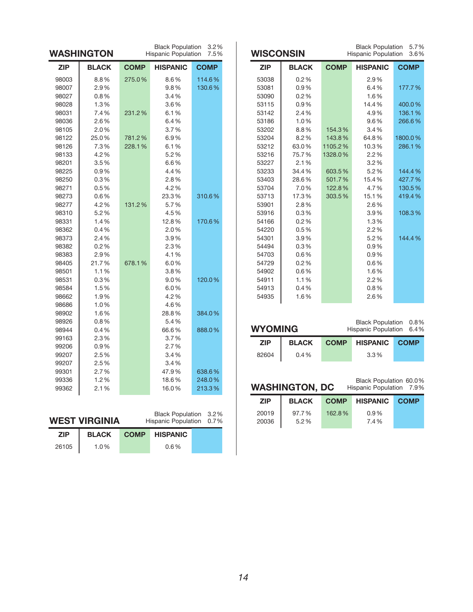| <b>Black Population</b><br>3.2%<br>WASHINGTON<br>Hispanic Population<br>7.5% |              |             |                 |             |
|------------------------------------------------------------------------------|--------------|-------------|-----------------|-------------|
| <b>ZIP</b>                                                                   | <b>BLACK</b> | <b>COMP</b> | <b>HISPANIC</b> | <b>COMP</b> |
| 98003                                                                        | 8.8%         | 275.0%      | 8.6%            | 114.6%      |
| 98007                                                                        | 2.9%         |             | 9.8%            | 130.6%      |
| 98027                                                                        | 0.8%         |             | 3.4%            |             |
| 98028                                                                        | 1.3%         |             | 3.6%            |             |
| 98031                                                                        | 7.4%         | 231.2%      | 6.1%            |             |
| 98036                                                                        | 2.6%         |             | 6.4%            |             |
| 98105                                                                        | 2.0%         |             | 3.7%            |             |
| 98122                                                                        | 25.0%        | 781.2%      | 6.9%            |             |
| 98126                                                                        | 7.3%         | 228.1%      | 6.1%            |             |
| 98133                                                                        | 4.2%         |             | 5.2%            |             |
| 98201                                                                        | 3.5%         |             | 6.6%            |             |
| 98225                                                                        | 0.9%         |             | 4.4%            |             |
| 98250                                                                        | 0.3%         |             | 2.8%            |             |
| 98271                                                                        | 0.5%         |             | 4.2%            |             |
| 98273                                                                        | 0.6%         |             | 23.3%           | 310.6%      |
| 98277                                                                        | 4.2%         | 131.2%      | 5.7%            |             |
| 98310                                                                        | 5.2%         |             | 4.5%            |             |
| 98331                                                                        | 1.4%         |             | 12.8%           | 170.6%      |
| 98362                                                                        | 0.4%         |             | 2.0%            |             |
| 98373                                                                        | 2.4%         |             | 3.9%            |             |
| 98382                                                                        | 0.2%         |             | 2.3%            |             |
| 98383                                                                        | 2.9%         |             | 4.1%            |             |
| 98405                                                                        | 21.7%        | 678.1%      | 6.0%            |             |
| 98501                                                                        | 1.1%         |             | 3.8%            |             |
| 98531                                                                        | 0.3%         |             | 9.0%            | 120.0%      |
| 98584                                                                        | 1.5%         |             | 6.0%            |             |
| 98662                                                                        | 1.9%         |             | 4.2%            |             |
| 98686                                                                        | 1.0%         |             | 4.6%            |             |
| 98902                                                                        | 1.6%         |             | 28.8%           | 384.0%      |
| 98926                                                                        | 0.8%         |             | 5.4%            |             |
| 98944                                                                        | 0.4%         |             | 66.6%           | 888.0%      |
| 99163                                                                        | 2.3%         |             | 3.7%            |             |
| 99206                                                                        | 0.9%         |             | 2.7%            |             |
| 99207                                                                        | 2.5%         |             | 3.4%            |             |
| 99207                                                                        | 2.5%         |             | 3.4%            |             |
| 99301                                                                        | 2.7%         |             | 47.9%           | 638.6%      |
| 99336                                                                        | 1.2%         |             | 18.6%           | 248.0%      |
| 99362                                                                        | 2.1%         |             | 16.0%           | 213.3%      |
|                                                                              |              |             |                 |             |

| <b>Black Population</b><br><b>WISCONSIN</b><br>Hispanic Population |              |             |                 |             |
|--------------------------------------------------------------------|--------------|-------------|-----------------|-------------|
| <b>ZIP</b>                                                         | <b>BLACK</b> | <b>COMP</b> | <b>HISPANIC</b> | <b>COMP</b> |
| 53038                                                              | 0.2%         |             | 2.9%            |             |
| 53081                                                              | 0.9%         |             | 6.4%            | 177.7%      |
| 53090                                                              | 0.2%         |             | 1.6%            |             |
| 53115                                                              | 0.9%         |             | 14.4%           | 400.0%      |
| 53142                                                              | 2.4%         |             | 4.9%            | 136.1%      |
| 53186                                                              | 1.0%         |             | 9.6%            | 266.6%      |
| 53202                                                              | 8.8%         | 154.3%      | 3.4%            |             |
| 53204                                                              | 8.2%         | 143.8%      | 64.8%           | 1800.0%     |
| 53212                                                              | 63.0%        | 1105.2%     | 10.3%           | 286.1%      |
| 53216                                                              | 75.7%        | 1328.0%     | 2.2%            |             |
| 53227                                                              | 2.1%         |             | 3.2%            |             |
| 53233                                                              | 34.4%        | 603.5%      | 5.2%            | 144.4%      |
| 53403                                                              | 28.6%        | 501.7%      | 15.4%           | 427.7%      |
| 53704                                                              | 7.0%         | 122.8%      | 4.7%            | 130.5%      |
| 53713                                                              | 17.3%        | 303.5%      | 15.1%           | 419.4%      |
| 53901                                                              | 2.8%         |             | 2.6%            |             |
| 53916                                                              | 0.3%         |             | 3.9%            | 108.3%      |
| 54166                                                              | 0.2%         |             | 1.3%            |             |
| 54220                                                              | 0.5%         |             | 2.2%            |             |
| 54301                                                              | 3.9%         |             | 5.2%            | 144.4%      |
| 54494                                                              | 0.3%         |             | 0.9%            |             |
| 54703                                                              | 0.6%         |             | 0.9%            |             |
| 54729                                                              | 0.2%         |             | 0.6%            |             |
| 54902                                                              | 0.6%         |             | 1.6%            |             |
| 54911                                                              | 1.1%         |             | 2.2%            |             |
| 54913                                                              | 0.4%         |             | 0.8%            |             |
| 54935                                                              | 1.6%         |             | 2.6%            |             |

Black Population 0.8% Hispanic Population 6.4%

| <b>ZIP</b> | <b>BLACK</b> | <b>COMP</b> | <b>HISPANIC</b> | <b>COMP</b> |
|------------|--------------|-------------|-----------------|-------------|
| 82604      | 0.4%         |             | 3.3%            |             |

#### **waShington, dC**

Black Population 60.0% Hispanic Population 7.9%

| <b>ZIP</b>     | <b>BLACK</b>     | <b>COMP</b> | <b>HISPANIC</b> | <b>COMP</b> |
|----------------|------------------|-------------|-----------------|-------------|
| 20019<br>20036 | 97.7%<br>$5.2\%$ | 162.8%      | $0.9\%$<br>7.4% |             |
|                |                  |             |                 |             |

| WEST VIRGINIA |  |
|---------------|--|
|---------------|--|

Black Population 3.2% Hispanic Population 0.7%

| <b>ZIP</b> | <b>BLACK</b> | <b>COMP</b> | HISPANIC |
|------------|--------------|-------------|----------|
| 26105      | 1.0%         |             | $0.6\%$  |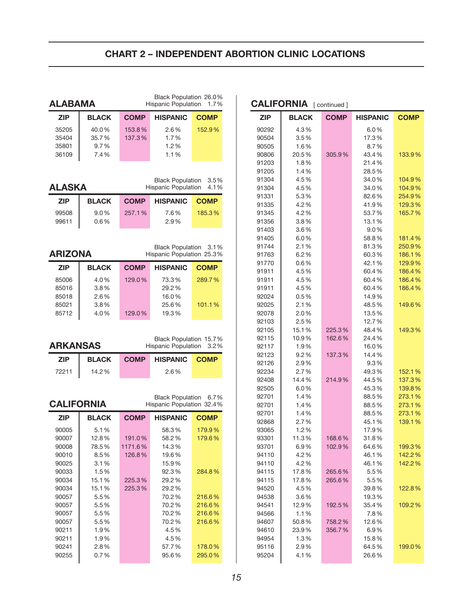# **Chart 2 – indePendent aBortion CLiniC LoCationS**

|                        | Black Population 26.0%<br><b>ALABAMA</b><br>Hispanic Population |             |                                                                         |                        |
|------------------------|-----------------------------------------------------------------|-------------|-------------------------------------------------------------------------|------------------------|
| <b>ZIP</b>             | <b>BLACK</b>                                                    | <b>COMP</b> | <b>HISPANIC</b>                                                         | <b>COMP</b>            |
| 35205                  | 40.0%                                                           | 153.8%      | 2.6%                                                                    | 152.9%                 |
| 35404                  | 35.7%                                                           | 137.3%      | 1.7%                                                                    |                        |
| 35801                  | 9.7%                                                            |             | 1.2%                                                                    |                        |
| 36109                  | 7.4%                                                            |             | 1.1%                                                                    |                        |
| <b>ALASKA</b>          |                                                                 |             | <b>Black Population</b><br><b>Hispanic Population</b>                   | 3.5%<br>4.1%           |
| <b>ZIP</b>             | <b>BLACK</b>                                                    | <b>COMP</b> | <b>HISPANIC</b>                                                         | <b>COMP</b>            |
| 99508                  | $9.0\%$                                                         | 257.1%      | 7.6%                                                                    | 185.3%                 |
| 99611                  | 0.6%                                                            |             | 2.9%                                                                    |                        |
| <b>ARIZONA</b>         |                                                                 |             | Black Population 3.1%<br>Hispanic Population 25.3%                      |                        |
| <b>ZIP</b>             | <b>BLACK</b>                                                    | <b>COMP</b> | <b>HISPANIC</b>                                                         | <b>COMP</b>            |
| 85006                  | 4.0%                                                            | 129.0%      | 73.3%                                                                   | 289.7%                 |
| 85016                  | 3.8%                                                            |             | 29.2%                                                                   |                        |
| 85018                  | 2.6%                                                            |             | 16.0%                                                                   |                        |
| 85021                  | 3.8%                                                            |             | 25.6%                                                                   | 101.1%                 |
| 85712                  | 4.0%                                                            | 129.0%      | 19.3%                                                                   |                        |
|                        |                                                                 |             |                                                                         |                        |
| <b>ARKANSAS</b><br>ZIP | <b>BLACK</b>                                                    | <b>COMP</b> | Black Population 15.7%<br><b>Hispanic Population</b><br><b>HISPANIC</b> | <b>COMP</b>            |
| 72211                  | 14.2%                                                           |             | 2.6%                                                                    |                        |
| <b>CALIFORNIA</b>      |                                                                 |             | <b>Black Population</b><br>Hispanic Population 32.4%                    |                        |
| <b>ZIP</b>             | <b>BLACK</b>                                                    | <b>COMP</b> | <b>HISPANIC</b>                                                         | <b>COMP</b>            |
| 90005                  | 5.1%                                                            |             | 58.3%                                                                   | 3.2%<br>6.7%<br>179.9% |
| 90007                  | 12.8%                                                           | 191.0%      | 58.2%                                                                   | 179.6%                 |
| 90008                  | 78.5%                                                           | 1171.6%     | 14.3%                                                                   |                        |
| 90010                  | 8.5%                                                            | 126.8%      | 19.6%                                                                   |                        |
| 90025                  | 3.1%                                                            |             | 15.9%                                                                   |                        |
| 90033                  | 1.5%                                                            |             | 92.3%                                                                   | 284.8%                 |
| 90034                  | 15.1%                                                           | 225.3%      | 29.2%                                                                   |                        |
| 90034                  | 15.1%                                                           | 225.3%      | 29.2%                                                                   |                        |
| 90057                  | 5.5%                                                            |             | 70.2%                                                                   | 216.6%                 |
| 90057                  | 5.5%                                                            |             | 70.2%                                                                   | 216.6%                 |
| 90057                  | 5.5%                                                            |             | 70.2%                                                                   | 216.6%                 |
| 90057                  | 5.5%                                                            |             | 70.2%                                                                   | 216.6%                 |
| 90211                  | 1.9%                                                            |             | 4.5%                                                                    |                        |
| 90211                  | 1.9%                                                            |             | 4.5%                                                                    |                        |
| 90241                  | 2.8%                                                            |             |                                                                         |                        |
| 90255                  | 0.7%                                                            |             | 57.7%<br>95.6%                                                          | 178.0%<br>295.0%       |

| <b>COMP</b><br><b>COMP</b><br>ZIP<br><b>BLACK</b><br>HISPANIC<br>4.3%<br>90292<br>6.0%<br>90504<br>3.5%<br>17.3%<br>90505<br>1.6%<br>8.7%<br>20.5%<br>305.9%<br>43.4%<br>133.9%<br>90806<br>1.8%<br>21.4%<br>91203<br>91205<br>1.4%<br>28.5%<br>4.5%<br>91304<br>34.0%<br>104.9%<br>91304<br>4.5%<br>34.0%<br>104.9%<br>91331<br>5.3%<br>82.6%<br>254.9%<br>4.2%<br>41.9%<br>129.3%<br>91335<br>91345<br>4.2%<br>53.7%<br>165.7%<br>91356<br>3.8%<br>13.1%<br>91403<br>3.6%<br>9.0%<br>6.0%<br>58.8%<br>91405<br>181.4%<br>91744<br>2.1%<br>81.3%<br>250.9%<br>6.2%<br>60.3%<br>186.1%<br>91763<br>91770<br>0.6%<br>42.1%<br>129.9%<br>91911<br>4.5%<br>60.4%<br>186.4%<br>4.5%<br>60.4%<br>186.4%<br>91911<br>4.5%<br>60.4%<br>186.4%<br>91911<br>92024<br>0.5%<br>14.9%<br>2.1%<br>92025<br>48.5%<br>149.6%<br>92078<br>2.0%<br>13.5%<br>92103<br>2.5%<br>12.7%<br>225.3%<br>149.3%<br>92105<br>15.1%<br>48.4%<br>162.6%<br>92115<br>10.9%<br>24.4%<br>92117<br>1.9%<br>16.0%<br>92123<br>9.2%<br>137.3%<br>14.4%<br>92126<br>2.9%<br>9.3%<br>2.7%<br>92234<br>49.3%<br>152.1%<br>14.4%<br>214.9%<br>44.5%<br>137.3%<br>92408<br>92505<br>6.0%<br>45.3%<br>139.8%<br>92701<br>1.4%<br>88.5%<br>273.1%<br>92701<br>1.4%<br>88.5%<br>273.1%<br>1.4%<br>88.5%<br>273.1%<br>92701<br>2.7%<br>45.1%<br>139.1%<br>92868<br>93065<br>1.2%<br>17.9%<br>93301<br>11.3%<br>168.6%<br>31.8%<br>93701<br>6.9%<br>102.9%<br>64.6%<br>199.3%<br>94110<br>4.2%<br>46.1%<br>142.2%<br>4.2%<br>142.2%<br>94110<br>46.1%<br>265.6%<br>5.5%<br>94115<br>17.8%<br>17.8%<br>5.5%<br>94115<br>265.6%<br>122.8%<br>94520<br>4.5%<br>39.8%<br>94538<br>3.6%<br>19.3%<br>192.5%<br>94541<br>12.9%<br>35.4%<br>109.2%<br>1.1%<br>7.8%<br>94566<br>50.8%<br>758.2%<br>12.6%<br>94607<br>94610<br>23.9%<br>356.7%<br>$6.9\%$<br>94954<br>1.3%<br>15.8%<br>2.9%<br>95116<br>64.5%<br>199.0% |       | <b>CALIFORNIA</b> [continued] |  |       |  |  |
|------------------------------------------------------------------------------------------------------------------------------------------------------------------------------------------------------------------------------------------------------------------------------------------------------------------------------------------------------------------------------------------------------------------------------------------------------------------------------------------------------------------------------------------------------------------------------------------------------------------------------------------------------------------------------------------------------------------------------------------------------------------------------------------------------------------------------------------------------------------------------------------------------------------------------------------------------------------------------------------------------------------------------------------------------------------------------------------------------------------------------------------------------------------------------------------------------------------------------------------------------------------------------------------------------------------------------------------------------------------------------------------------------------------------------------------------------------------------------------------------------------------------------------------------------------------------------------------------------------------------------------------------------------------------------------------------------------------------------------------------------------------------------------------------------------------------------------------------------------------|-------|-------------------------------|--|-------|--|--|
|                                                                                                                                                                                                                                                                                                                                                                                                                                                                                                                                                                                                                                                                                                                                                                                                                                                                                                                                                                                                                                                                                                                                                                                                                                                                                                                                                                                                                                                                                                                                                                                                                                                                                                                                                                                                                                                                  |       |                               |  |       |  |  |
|                                                                                                                                                                                                                                                                                                                                                                                                                                                                                                                                                                                                                                                                                                                                                                                                                                                                                                                                                                                                                                                                                                                                                                                                                                                                                                                                                                                                                                                                                                                                                                                                                                                                                                                                                                                                                                                                  |       |                               |  |       |  |  |
|                                                                                                                                                                                                                                                                                                                                                                                                                                                                                                                                                                                                                                                                                                                                                                                                                                                                                                                                                                                                                                                                                                                                                                                                                                                                                                                                                                                                                                                                                                                                                                                                                                                                                                                                                                                                                                                                  |       |                               |  |       |  |  |
|                                                                                                                                                                                                                                                                                                                                                                                                                                                                                                                                                                                                                                                                                                                                                                                                                                                                                                                                                                                                                                                                                                                                                                                                                                                                                                                                                                                                                                                                                                                                                                                                                                                                                                                                                                                                                                                                  |       |                               |  |       |  |  |
|                                                                                                                                                                                                                                                                                                                                                                                                                                                                                                                                                                                                                                                                                                                                                                                                                                                                                                                                                                                                                                                                                                                                                                                                                                                                                                                                                                                                                                                                                                                                                                                                                                                                                                                                                                                                                                                                  |       |                               |  |       |  |  |
|                                                                                                                                                                                                                                                                                                                                                                                                                                                                                                                                                                                                                                                                                                                                                                                                                                                                                                                                                                                                                                                                                                                                                                                                                                                                                                                                                                                                                                                                                                                                                                                                                                                                                                                                                                                                                                                                  |       |                               |  |       |  |  |
|                                                                                                                                                                                                                                                                                                                                                                                                                                                                                                                                                                                                                                                                                                                                                                                                                                                                                                                                                                                                                                                                                                                                                                                                                                                                                                                                                                                                                                                                                                                                                                                                                                                                                                                                                                                                                                                                  |       |                               |  |       |  |  |
|                                                                                                                                                                                                                                                                                                                                                                                                                                                                                                                                                                                                                                                                                                                                                                                                                                                                                                                                                                                                                                                                                                                                                                                                                                                                                                                                                                                                                                                                                                                                                                                                                                                                                                                                                                                                                                                                  |       |                               |  |       |  |  |
|                                                                                                                                                                                                                                                                                                                                                                                                                                                                                                                                                                                                                                                                                                                                                                                                                                                                                                                                                                                                                                                                                                                                                                                                                                                                                                                                                                                                                                                                                                                                                                                                                                                                                                                                                                                                                                                                  |       |                               |  |       |  |  |
|                                                                                                                                                                                                                                                                                                                                                                                                                                                                                                                                                                                                                                                                                                                                                                                                                                                                                                                                                                                                                                                                                                                                                                                                                                                                                                                                                                                                                                                                                                                                                                                                                                                                                                                                                                                                                                                                  |       |                               |  |       |  |  |
|                                                                                                                                                                                                                                                                                                                                                                                                                                                                                                                                                                                                                                                                                                                                                                                                                                                                                                                                                                                                                                                                                                                                                                                                                                                                                                                                                                                                                                                                                                                                                                                                                                                                                                                                                                                                                                                                  |       |                               |  |       |  |  |
|                                                                                                                                                                                                                                                                                                                                                                                                                                                                                                                                                                                                                                                                                                                                                                                                                                                                                                                                                                                                                                                                                                                                                                                                                                                                                                                                                                                                                                                                                                                                                                                                                                                                                                                                                                                                                                                                  |       |                               |  |       |  |  |
|                                                                                                                                                                                                                                                                                                                                                                                                                                                                                                                                                                                                                                                                                                                                                                                                                                                                                                                                                                                                                                                                                                                                                                                                                                                                                                                                                                                                                                                                                                                                                                                                                                                                                                                                                                                                                                                                  |       |                               |  |       |  |  |
|                                                                                                                                                                                                                                                                                                                                                                                                                                                                                                                                                                                                                                                                                                                                                                                                                                                                                                                                                                                                                                                                                                                                                                                                                                                                                                                                                                                                                                                                                                                                                                                                                                                                                                                                                                                                                                                                  |       |                               |  |       |  |  |
|                                                                                                                                                                                                                                                                                                                                                                                                                                                                                                                                                                                                                                                                                                                                                                                                                                                                                                                                                                                                                                                                                                                                                                                                                                                                                                                                                                                                                                                                                                                                                                                                                                                                                                                                                                                                                                                                  |       |                               |  |       |  |  |
|                                                                                                                                                                                                                                                                                                                                                                                                                                                                                                                                                                                                                                                                                                                                                                                                                                                                                                                                                                                                                                                                                                                                                                                                                                                                                                                                                                                                                                                                                                                                                                                                                                                                                                                                                                                                                                                                  |       |                               |  |       |  |  |
|                                                                                                                                                                                                                                                                                                                                                                                                                                                                                                                                                                                                                                                                                                                                                                                                                                                                                                                                                                                                                                                                                                                                                                                                                                                                                                                                                                                                                                                                                                                                                                                                                                                                                                                                                                                                                                                                  |       |                               |  |       |  |  |
|                                                                                                                                                                                                                                                                                                                                                                                                                                                                                                                                                                                                                                                                                                                                                                                                                                                                                                                                                                                                                                                                                                                                                                                                                                                                                                                                                                                                                                                                                                                                                                                                                                                                                                                                                                                                                                                                  |       |                               |  |       |  |  |
|                                                                                                                                                                                                                                                                                                                                                                                                                                                                                                                                                                                                                                                                                                                                                                                                                                                                                                                                                                                                                                                                                                                                                                                                                                                                                                                                                                                                                                                                                                                                                                                                                                                                                                                                                                                                                                                                  |       |                               |  |       |  |  |
|                                                                                                                                                                                                                                                                                                                                                                                                                                                                                                                                                                                                                                                                                                                                                                                                                                                                                                                                                                                                                                                                                                                                                                                                                                                                                                                                                                                                                                                                                                                                                                                                                                                                                                                                                                                                                                                                  |       |                               |  |       |  |  |
|                                                                                                                                                                                                                                                                                                                                                                                                                                                                                                                                                                                                                                                                                                                                                                                                                                                                                                                                                                                                                                                                                                                                                                                                                                                                                                                                                                                                                                                                                                                                                                                                                                                                                                                                                                                                                                                                  |       |                               |  |       |  |  |
|                                                                                                                                                                                                                                                                                                                                                                                                                                                                                                                                                                                                                                                                                                                                                                                                                                                                                                                                                                                                                                                                                                                                                                                                                                                                                                                                                                                                                                                                                                                                                                                                                                                                                                                                                                                                                                                                  |       |                               |  |       |  |  |
|                                                                                                                                                                                                                                                                                                                                                                                                                                                                                                                                                                                                                                                                                                                                                                                                                                                                                                                                                                                                                                                                                                                                                                                                                                                                                                                                                                                                                                                                                                                                                                                                                                                                                                                                                                                                                                                                  |       |                               |  |       |  |  |
|                                                                                                                                                                                                                                                                                                                                                                                                                                                                                                                                                                                                                                                                                                                                                                                                                                                                                                                                                                                                                                                                                                                                                                                                                                                                                                                                                                                                                                                                                                                                                                                                                                                                                                                                                                                                                                                                  |       |                               |  |       |  |  |
|                                                                                                                                                                                                                                                                                                                                                                                                                                                                                                                                                                                                                                                                                                                                                                                                                                                                                                                                                                                                                                                                                                                                                                                                                                                                                                                                                                                                                                                                                                                                                                                                                                                                                                                                                                                                                                                                  |       |                               |  |       |  |  |
|                                                                                                                                                                                                                                                                                                                                                                                                                                                                                                                                                                                                                                                                                                                                                                                                                                                                                                                                                                                                                                                                                                                                                                                                                                                                                                                                                                                                                                                                                                                                                                                                                                                                                                                                                                                                                                                                  |       |                               |  |       |  |  |
|                                                                                                                                                                                                                                                                                                                                                                                                                                                                                                                                                                                                                                                                                                                                                                                                                                                                                                                                                                                                                                                                                                                                                                                                                                                                                                                                                                                                                                                                                                                                                                                                                                                                                                                                                                                                                                                                  |       |                               |  |       |  |  |
|                                                                                                                                                                                                                                                                                                                                                                                                                                                                                                                                                                                                                                                                                                                                                                                                                                                                                                                                                                                                                                                                                                                                                                                                                                                                                                                                                                                                                                                                                                                                                                                                                                                                                                                                                                                                                                                                  |       |                               |  |       |  |  |
|                                                                                                                                                                                                                                                                                                                                                                                                                                                                                                                                                                                                                                                                                                                                                                                                                                                                                                                                                                                                                                                                                                                                                                                                                                                                                                                                                                                                                                                                                                                                                                                                                                                                                                                                                                                                                                                                  |       |                               |  |       |  |  |
|                                                                                                                                                                                                                                                                                                                                                                                                                                                                                                                                                                                                                                                                                                                                                                                                                                                                                                                                                                                                                                                                                                                                                                                                                                                                                                                                                                                                                                                                                                                                                                                                                                                                                                                                                                                                                                                                  |       |                               |  |       |  |  |
|                                                                                                                                                                                                                                                                                                                                                                                                                                                                                                                                                                                                                                                                                                                                                                                                                                                                                                                                                                                                                                                                                                                                                                                                                                                                                                                                                                                                                                                                                                                                                                                                                                                                                                                                                                                                                                                                  |       |                               |  |       |  |  |
|                                                                                                                                                                                                                                                                                                                                                                                                                                                                                                                                                                                                                                                                                                                                                                                                                                                                                                                                                                                                                                                                                                                                                                                                                                                                                                                                                                                                                                                                                                                                                                                                                                                                                                                                                                                                                                                                  |       |                               |  |       |  |  |
|                                                                                                                                                                                                                                                                                                                                                                                                                                                                                                                                                                                                                                                                                                                                                                                                                                                                                                                                                                                                                                                                                                                                                                                                                                                                                                                                                                                                                                                                                                                                                                                                                                                                                                                                                                                                                                                                  |       |                               |  |       |  |  |
|                                                                                                                                                                                                                                                                                                                                                                                                                                                                                                                                                                                                                                                                                                                                                                                                                                                                                                                                                                                                                                                                                                                                                                                                                                                                                                                                                                                                                                                                                                                                                                                                                                                                                                                                                                                                                                                                  |       |                               |  |       |  |  |
|                                                                                                                                                                                                                                                                                                                                                                                                                                                                                                                                                                                                                                                                                                                                                                                                                                                                                                                                                                                                                                                                                                                                                                                                                                                                                                                                                                                                                                                                                                                                                                                                                                                                                                                                                                                                                                                                  |       |                               |  |       |  |  |
|                                                                                                                                                                                                                                                                                                                                                                                                                                                                                                                                                                                                                                                                                                                                                                                                                                                                                                                                                                                                                                                                                                                                                                                                                                                                                                                                                                                                                                                                                                                                                                                                                                                                                                                                                                                                                                                                  |       |                               |  |       |  |  |
|                                                                                                                                                                                                                                                                                                                                                                                                                                                                                                                                                                                                                                                                                                                                                                                                                                                                                                                                                                                                                                                                                                                                                                                                                                                                                                                                                                                                                                                                                                                                                                                                                                                                                                                                                                                                                                                                  |       |                               |  |       |  |  |
|                                                                                                                                                                                                                                                                                                                                                                                                                                                                                                                                                                                                                                                                                                                                                                                                                                                                                                                                                                                                                                                                                                                                                                                                                                                                                                                                                                                                                                                                                                                                                                                                                                                                                                                                                                                                                                                                  |       |                               |  |       |  |  |
|                                                                                                                                                                                                                                                                                                                                                                                                                                                                                                                                                                                                                                                                                                                                                                                                                                                                                                                                                                                                                                                                                                                                                                                                                                                                                                                                                                                                                                                                                                                                                                                                                                                                                                                                                                                                                                                                  |       |                               |  |       |  |  |
|                                                                                                                                                                                                                                                                                                                                                                                                                                                                                                                                                                                                                                                                                                                                                                                                                                                                                                                                                                                                                                                                                                                                                                                                                                                                                                                                                                                                                                                                                                                                                                                                                                                                                                                                                                                                                                                                  |       |                               |  |       |  |  |
|                                                                                                                                                                                                                                                                                                                                                                                                                                                                                                                                                                                                                                                                                                                                                                                                                                                                                                                                                                                                                                                                                                                                                                                                                                                                                                                                                                                                                                                                                                                                                                                                                                                                                                                                                                                                                                                                  |       |                               |  |       |  |  |
|                                                                                                                                                                                                                                                                                                                                                                                                                                                                                                                                                                                                                                                                                                                                                                                                                                                                                                                                                                                                                                                                                                                                                                                                                                                                                                                                                                                                                                                                                                                                                                                                                                                                                                                                                                                                                                                                  |       |                               |  |       |  |  |
|                                                                                                                                                                                                                                                                                                                                                                                                                                                                                                                                                                                                                                                                                                                                                                                                                                                                                                                                                                                                                                                                                                                                                                                                                                                                                                                                                                                                                                                                                                                                                                                                                                                                                                                                                                                                                                                                  |       |                               |  |       |  |  |
|                                                                                                                                                                                                                                                                                                                                                                                                                                                                                                                                                                                                                                                                                                                                                                                                                                                                                                                                                                                                                                                                                                                                                                                                                                                                                                                                                                                                                                                                                                                                                                                                                                                                                                                                                                                                                                                                  |       |                               |  |       |  |  |
|                                                                                                                                                                                                                                                                                                                                                                                                                                                                                                                                                                                                                                                                                                                                                                                                                                                                                                                                                                                                                                                                                                                                                                                                                                                                                                                                                                                                                                                                                                                                                                                                                                                                                                                                                                                                                                                                  |       |                               |  |       |  |  |
|                                                                                                                                                                                                                                                                                                                                                                                                                                                                                                                                                                                                                                                                                                                                                                                                                                                                                                                                                                                                                                                                                                                                                                                                                                                                                                                                                                                                                                                                                                                                                                                                                                                                                                                                                                                                                                                                  |       |                               |  |       |  |  |
|                                                                                                                                                                                                                                                                                                                                                                                                                                                                                                                                                                                                                                                                                                                                                                                                                                                                                                                                                                                                                                                                                                                                                                                                                                                                                                                                                                                                                                                                                                                                                                                                                                                                                                                                                                                                                                                                  |       |                               |  |       |  |  |
|                                                                                                                                                                                                                                                                                                                                                                                                                                                                                                                                                                                                                                                                                                                                                                                                                                                                                                                                                                                                                                                                                                                                                                                                                                                                                                                                                                                                                                                                                                                                                                                                                                                                                                                                                                                                                                                                  |       |                               |  |       |  |  |
|                                                                                                                                                                                                                                                                                                                                                                                                                                                                                                                                                                                                                                                                                                                                                                                                                                                                                                                                                                                                                                                                                                                                                                                                                                                                                                                                                                                                                                                                                                                                                                                                                                                                                                                                                                                                                                                                  |       |                               |  |       |  |  |
|                                                                                                                                                                                                                                                                                                                                                                                                                                                                                                                                                                                                                                                                                                                                                                                                                                                                                                                                                                                                                                                                                                                                                                                                                                                                                                                                                                                                                                                                                                                                                                                                                                                                                                                                                                                                                                                                  |       |                               |  |       |  |  |
|                                                                                                                                                                                                                                                                                                                                                                                                                                                                                                                                                                                                                                                                                                                                                                                                                                                                                                                                                                                                                                                                                                                                                                                                                                                                                                                                                                                                                                                                                                                                                                                                                                                                                                                                                                                                                                                                  |       |                               |  |       |  |  |
|                                                                                                                                                                                                                                                                                                                                                                                                                                                                                                                                                                                                                                                                                                                                                                                                                                                                                                                                                                                                                                                                                                                                                                                                                                                                                                                                                                                                                                                                                                                                                                                                                                                                                                                                                                                                                                                                  | 95204 | 4.1%                          |  | 26.6% |  |  |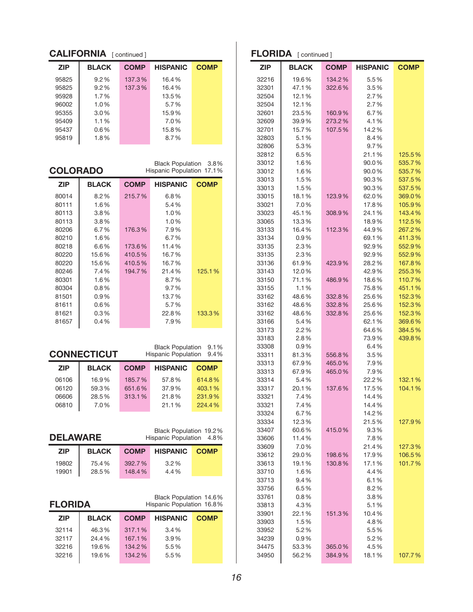### **CALIFORNIA** [ continued ]

| <b>ZIP</b> | <b>BLACK</b> | <b>COMP</b> | <b>HISPANIC</b> | <b>COMP</b> |
|------------|--------------|-------------|-----------------|-------------|
| 95825      | $9.2\%$      | 137.3%      | 16.4%           |             |
| 95825      | $9.2\%$      | 137.3%      | 16.4%           |             |
| 95928      | 1.7%         |             | 13.5%           |             |
| 96002      | 1.0%         |             | 5.7%            |             |
| 95355      | $3.0\%$      |             | 15.9%           |             |
| 95409      | 1.1%         |             | 7.0%            |             |
| 95437      | $0.6\%$      |             | 15.8%           |             |
| 95819      | 1.8%         |             | 8.7%            |             |

**Colorado**

Black Population 3.8% Hispanic Population 17.1%

| <b>ZIP</b> | <b>BLACK</b> | <b>COMP</b> | <b>HISPANIC</b> | <b>COMP</b> |
|------------|--------------|-------------|-----------------|-------------|
| 80014      | $8.2\%$      | 215.7%      | 6.8%            |             |
| 80111      | 1.6%         |             | 5.4%            |             |
| 80113      | $3.8\%$      |             | 1.0%            |             |
| 80113      | $3.8\%$      |             | 1.0%            |             |
| 80206      | 6.7%         | 176.3%      | 7.9%            |             |
| 80210      | 1.6%         |             | 6.7%            |             |
| 80218      | 6.6%         | 173.6%      | 11.4%           |             |
| 80220      | 15.6%        | 410.5%      | 16.7%           |             |
| 80220      | 15.6%        | 410.5%      | 16.7%           |             |
| 80246      | 7.4%         | 194.7%      | 21.4%           | 125.1%      |
| 80301      | 1.6%         |             | 8.7%            |             |
| 80304      | $0.8\%$      |             | $9.7\%$         |             |
| 81501      | $0.9\%$      |             | 13.7%           |             |
| 81611      | $0.6\%$      |             | 5.7%            |             |
| 81621      | $0.3\%$      |             | 22.8%           | 133.3%      |
| 81657      | $0.4\%$      |             | 7.9%            |             |

# **CONNECTICUT**

Black Population 9.1% Hispanic Population 9.4%

| <b>ZIP</b> | <b>BLACK</b> | <b>COMP</b> | <b>HISPANIC</b> | <b>COMP</b> |
|------------|--------------|-------------|-----------------|-------------|
| 06106      | 16.9%        | 185.7%      | 57.8%           | 614.8%      |
| 06120      | 59.3%        | 651.6%      | 37.9%           | 403.1%      |
| 06606      | 28.5%        | 313.1%      | 21.8%           | 231.9%      |
| 06810      | 7.0%         |             | 21.1%           | 224.4%      |

Black Population 19.2% Hispanic Population 4.8%

| <b>ZIP</b> | <b>BLACK</b> |        | <b>COMP HISPANIC COMP</b> |  |
|------------|--------------|--------|---------------------------|--|
| 19802      | 75.4%        | 392.7% | $3.2\%$                   |  |
| 19901      | 28.5%        | 148.4% | 4.4%                      |  |

#### **florida**

Black Population 14.6% Hispanic Population 16.8%

| <b>ZIP</b> | <b>BLACK</b> | <b>COMP</b> | <b>HISPANIC</b> | <b>COMP</b> |
|------------|--------------|-------------|-----------------|-------------|
| 32114      | 46.3%        | 317.1%      | 3.4%            |             |
| 32117      | 24.4%        | 167.1%      | 3.9%            |             |
| 32216      | 19.6%        | 134.2%      | 5.5%            |             |
| 32216      | 19.6%        | 134.2%      | 5.5%            |             |
|            |              |             |                 |             |

| <b>FLORIDA</b> [continued] |  |
|----------------------------|--|
|----------------------------|--|

| <b>ZIP</b> | BLACK   | <b>COMP</b> | <b>HISPANIC</b> | <b>COMP</b> |
|------------|---------|-------------|-----------------|-------------|
| 32216      | 19.6%   | 134.2%      | 5.5%            |             |
| 32301      | 47.1%   | 322.6%      | 3.5%            |             |
| 32504      | 12.1%   |             | 2.7%            |             |
| 32504      | 12.1%   |             | 2.7%            |             |
| 32601      | 23.5%   | 160.9%      | 6.7%            |             |
| 32609      | 39.9%   | 273.2%      | 4.1%            |             |
| 32701      | 15.7%   | 107.5%      | 14.2%           |             |
| 32803      | 5.1%    |             | 8.4%            |             |
| 32806      | 5.3%    |             | 9.7%            |             |
| 32812      | 6.5%    |             | 21.1%           | 125.5%      |
| 33012      | 1.6%    |             | 90.0%           | 535.7%      |
| 33012      | 1.6%    |             | 90.0%           | 535.7%      |
| 33013      | 1.5%    |             | 90.3%           | 537.5%      |
| 33013      | 1.5%    |             | 90.3%           | 537.5%      |
| 33015      | 18.1%   | 123.9%      | 62.0%           | 369.0%      |
| 33021      | 7.0%    |             | 17.8%           | 105.9%      |
| 33023      | 45.1%   | 308.9%      | 24.1%           | 143.4%      |
| 33065      | 13.3%   |             | 18.9%           | 112.5%      |
| 33133      | 16.4%   | 112.3%      | 44.9%           | 267.2%      |
| 33134      | $0.9\%$ |             | 69.1%           | 411.3%      |
| 33135      | 2.3%    |             | 92.9%           | 552.9%      |
| 33135      | 2.3%    |             | 92.9%           | 552.9%      |
| 33136      | 61.9%   | 423.9%      | 28.2%           | 167.8%      |
| 33143      | 12.0%   |             | 42.9%           | 255.3%      |
| 33150      | 71.1%   | 486.9%      | 18.6%           | 110.7%      |
| 33155      | 1.1%    |             | 75.8%           | 451.1%      |
| 33162      | 48.6%   | 332.8%      | 25.6%           | 152.3%      |
| 33162      | 48.6%   | 332.8%      | 25.6%           | 152.3%      |
| 33162      | 48.6%   | 332.8%      | 25.6%           | 152.3%      |
| 33166      | 5.4%    |             | 62.1%           | 369.6%      |
| 33173      | $2.2\%$ |             | 64.6%           | 384.5%      |
| 33183      | 2.8%    |             | 73.9%           | 439.8%      |
| 33308      | 0.9%    |             | 6.4%            |             |
| 33311      | 81.3%   | 556.8%      | 3.5%            |             |
| 33313      | 67.9%   | 465.0%      | 7.9%            |             |
| 33313      | 67.9%   | 465.0%      | 7.9%            |             |
| 33314      | 5.4%    |             | 22.2%           | 132.1 %     |
| 33317      | 20.1%   | 137.6%      | 17.5%           | 104.1%      |
| 33321      | 7.4%    |             | 14.4%           |             |
| 33321      | 7.4%    |             | 14.4%           |             |
| 33324      | 6.7%    |             | 14.2%           |             |
| 33334      | 12.3%   |             | 21.5%           | 127.9%      |
| 33407      | 60.6%   | 415.0%      | 9.3%            |             |
| 33606      | 11.4%   |             | 7.8%            |             |
| 33609      | 7.0%    |             | 21.4%           | 127.3%      |
| 33612      | 29.0%   | 198.6%      | 17.9%           | 106.5%      |
| 33613      | 19.1%   | 130.8%      | 17.1%           | 101.7%      |
| 33710      | 1.6%    |             | 4.4%            |             |
| 33713      | 9.4%    |             | 6.1%            |             |
| 33756      | 6.5%    |             | 8.2%            |             |
| 33761      | $0.8\%$ |             | $3.8\%$         |             |
| 33813      | 4.3%    |             | 5.1%            |             |
| 33901      | 22.1%   | 151.3%      | 10.4%           |             |
| 33903      | 1.5%    |             | 4.8%            |             |
| 33952      | 5.2%    |             | 5.5%            |             |
| 34239      | $0.9\%$ |             | 5.2%            |             |
| 34475      | 53.3%   | 365.0%      | 4.5%            |             |
| 34950      | 56.2%   | 384.9%      | 18.1%           | 107.7%      |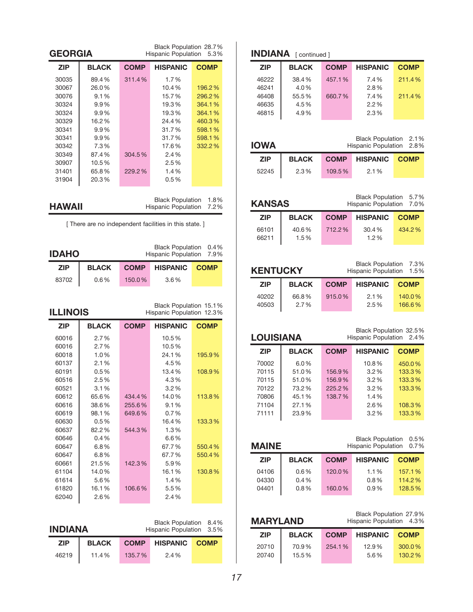| <b>ZIP</b>                                                                                                        | Black Population 28.7%<br><b>GEORGIA</b><br><b>Hispanic Population</b><br>5.3%                              |                            |                                                                                                              |                                                                              |  |
|-------------------------------------------------------------------------------------------------------------------|-------------------------------------------------------------------------------------------------------------|----------------------------|--------------------------------------------------------------------------------------------------------------|------------------------------------------------------------------------------|--|
|                                                                                                                   | <b>BLACK</b>                                                                                                | <b>COMP</b>                | <b>HISPANIC</b>                                                                                              | <b>COMP</b>                                                                  |  |
| 30035<br>30067<br>30076<br>30324<br>30324<br>30329<br>30341<br>30341<br>30342<br>30349<br>30907<br>31401<br>31904 | 89.4%<br>26.0%<br>9.1%<br>9.9%<br>9.9%<br>16.2%<br>9.9%<br>9.9%<br>7.3%<br>87.4%<br>10.5%<br>65.8%<br>20.3% | 311.4%<br>304.5%<br>229.2% | 1.7%<br>10.4%<br>15.7%<br>19.3%<br>19.3%<br>24.4%<br>31.7%<br>31.7%<br>17.6%<br>2.4%<br>2.5%<br>1.4%<br>0.5% | 196.2%<br>296.2%<br>364.1%<br>364.1%<br>460.3%<br>598.1%<br>598.1%<br>332.2% |  |
| <b>Black Population</b><br>1.8%<br><b>HAWAII</b><br><b>Hispanic Population</b><br>7.2%                            |                                                                                                             |                            |                                                                                                              |                                                                              |  |
|                                                                                                                   |                                                                                                             |                            |                                                                                                              |                                                                              |  |
| <b>Black Population</b><br>0.4%<br><b>IDAHO</b><br><b>Hispanic Population</b><br>7.9%                             |                                                                                                             |                            |                                                                                                              |                                                                              |  |
| <b>ZIP</b>                                                                                                        | <b>BLACK</b>                                                                                                | <b>COMP</b>                | <b>HISPANIC</b>                                                                                              | <b>COMP</b>                                                                  |  |
| 83702                                                                                                             | 0.6%                                                                                                        | 150.0%                     | 3.6%                                                                                                         |                                                                              |  |
| <b>ILLINOIS</b>                                                                                                   |                                                                                                             |                            | Black Population 15.1%<br>Hispanic Population 12.3%                                                          |                                                                              |  |
| <b>ZIP</b>                                                                                                        | <b>BLACK</b>                                                                                                | <b>COMP</b>                | <b>HISPANIC</b>                                                                                              | <b>COMP</b>                                                                  |  |
| 60016<br>60016<br>60018<br>60137<br>60191                                                                         | 2.7%<br>2.7%<br>1.0%                                                                                        |                            | 10.5%<br>10.5%<br>24.1%                                                                                      |                                                                              |  |
| 60516                                                                                                             | 2.1%<br>0.5%<br>2.5%                                                                                        |                            | 4.5%<br>13.4%<br>4.3%                                                                                        | 195.9%<br>108.9%                                                             |  |
| 60521<br>60612<br>60616<br>60619                                                                                  | 3.1%<br>65.6%<br>38.6%<br>98.1%                                                                             | 434.4%<br>255.6%<br>649.6% | 3.2%<br>14.0%<br>9.1%<br>0.7%                                                                                | 113.8%                                                                       |  |
| 60630<br>60637<br>60646<br>60647<br>60647                                                                         | $0.5\%$<br>82.2%<br>0.4%<br>$6.8\%$<br>$6.8\%$                                                              | 544.3%                     | 16.4%<br>1.3%<br>6.6%<br>67.7%<br>67.7%                                                                      | 133.3%<br>550.4%<br>550.4%                                                   |  |

# **iNdiaNa**

Black Population 8.4% Hispanic Population 3.5%

| .          |       |        | $1.10\%$ and $1.9\%$ and $1.9\%$ and $1.9\%$ |  |
|------------|-------|--------|----------------------------------------------|--|
| <b>ZIP</b> | BLACK |        | <b>COMP HISPANIC COMP</b>                    |  |
| 46219      | 11.4% | 135.7% | 2.4%                                         |  |

## **INDIANA** [ continued ]

| <b>ZIP</b> | <b>BLACK</b> | <b>COMP</b> | <b>HISPANIC</b> | <b>COMP</b> |
|------------|--------------|-------------|-----------------|-------------|
| 46222      | 38.4%        | 457.1%      | 7.4%            | 211.4%      |
| 46241      | 4.0%         |             | 2.8%            |             |
| 46408      | 55.5%        | 660.7%      | 7.4%            | 211.4%      |
| 46635      | 4.5%         |             | 2.2%            |             |
| 46815      | 4.9%         |             | 2.3%            |             |
|            |              |             |                 |             |

| <b>IOWA</b> |              |             | Black Population 2.1%<br>Hispanic Population 2.8% |  |
|-------------|--------------|-------------|---------------------------------------------------|--|
| <b>ZIP</b>  | <b>BLACK</b> | <b>COMP</b> | <b>HISPANIC COMP</b>                              |  |
| 52245       | 2.3%         | 109.5%      | 2.1%                                              |  |

| <b>KANSAS</b> |              | Black Population 5.7%<br>Hispanic Population 7.0% |                 |             |
|---------------|--------------|---------------------------------------------------|-----------------|-------------|
| <b>ZIP</b>    | <b>BLACK</b> | <b>COMP</b>                                       | <b>HISPANIC</b> | <b>COMP</b> |
| 66101         | 40.6%        | 712.2%                                            | 30.4%           | 434.2%      |
| 66211         | 1.5%         |                                                   | 1.2%            |             |

| Black Population 7.3%<br><b>KENTUCKY</b><br>Hispanic Population 1.5% |               |             |                 |                  |
|----------------------------------------------------------------------|---------------|-------------|-----------------|------------------|
| <b>ZIP</b>                                                           | <b>BLACK</b>  | <b>COMP</b> | <b>HISPANIC</b> | <b>COMP</b>      |
| 40202<br>40503                                                       | 66.8%<br>2.7% | 915.0%      | 2.1%<br>2.5%    | 140.0%<br>166.6% |

| <b>LOUISIANA</b> |              |             | Black Population 32.5%<br>Hispanic Population 2.4% |             |
|------------------|--------------|-------------|----------------------------------------------------|-------------|
| <b>ZIP</b>       | <b>BLACK</b> | <b>COMP</b> | <b>HISPANIC</b>                                    | <b>COMP</b> |
| 70002            | $6.0\%$      |             | 10.8%                                              | 450.0%      |
| 70115            | 51.0%        | 156.9%      | $3.2\%$                                            | 133.3%      |
| 70115            | 51.0%        | 156.9%      | 3.2%                                               | 133.3%      |
| 70122            | 73.2%        | 225.2%      | 3.2%                                               | 133.3%      |
| 70806            | 45.1%        | 138.7%      | $1.4\%$                                            |             |
| 71104            | 27.1%        |             | 2.6%                                               | 108.3%      |
| 71111            | 23.9%        |             | 3.2%                                               | 133.3%      |

| <b>Black Population</b><br><b>MAINE</b><br><b>Hispanic Population</b> |              |             | 0.5%<br>0.7%    |             |
|-----------------------------------------------------------------------|--------------|-------------|-----------------|-------------|
| <b>ZIP</b>                                                            | <b>BLACK</b> | <b>COMP</b> | <b>HISPANIC</b> | <b>COMP</b> |
| 04106                                                                 | 0.6%         | 120.0%      | 1.1%            | 157.1%      |
| 04330                                                                 | $0.4\%$      |             | 0.8%            | 114.2%      |
| 04401                                                                 | 0.8%         | 160.0%      | 0.9%            | 128.5%      |

| <b>MARYLAND</b> |              |             | Black Population 27.9%<br>Hispanic Population 4.3% |             |
|-----------------|--------------|-------------|----------------------------------------------------|-------------|
| <b>ZIP</b>      | <b>BLACK</b> | <b>COMP</b> | <b>HISPANIC</b>                                    | <b>COMP</b> |
| 20710           | 70.9%        | 254.1%      | 12.9%                                              | 300.0%      |
| 20740           | 15.5%        |             | 5.6%                                               | 130.2%      |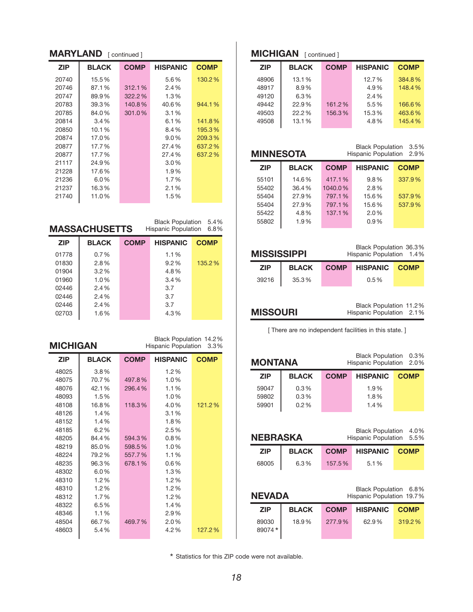### **MARYLAND** [ continued ]

| <b>ZIP</b> | <b>BLACK</b> | <b>COMP</b> | <b>HISPANIC</b> | <b>COMP</b> |
|------------|--------------|-------------|-----------------|-------------|
| 20740      | 15.5%        |             | 5.6%            | 130.2%      |
| 20746      | 87.1%        | 312.1%      | 2.4%            |             |
| 20747      | 89.9%        | 322.2%      | 1.3%            |             |
| 20783      | 39.3%        | 140.8%      | 40.6%           | 944.1%      |
| 20785      | 84.0%        | 301.0%      | 3.1%            |             |
| 20814      | 3.4%         |             | 6.1%            | 141.8%      |
| 20850      | 10.1%        |             | 8.4%            | 195.3%      |
| 20874      | 17.0%        |             | $9.0\%$         | 209.3%      |
| 20877      | 17.7%        |             | 27.4%           | 637.2%      |
| 20877      | 17.7%        |             | 27.4%           | 637.2%      |
| 21117      | 24.9%        |             | $3.0\%$         |             |
| 21228      | 17.6%        |             | 1.9%            |             |
| 21236      | $6.0\%$      |             | 1.7%            |             |
| 21237      | 16.3%        |             | 2.1%            |             |
| 21740      | 11.0%        |             | 1.5%            |             |

Black Population 5.4% Hispanic Population 6.8%

| <b>BLACK</b> | <b>COMP</b> | <b>HISPANIC</b>      | <b>COMP</b>              |
|--------------|-------------|----------------------|--------------------------|
| 0.7%         |             | 1.1%                 |                          |
| 2.8%         |             | 9.2%                 | 135.2%                   |
| $3.2\%$      |             | 4.8%                 |                          |
| 1.0%         |             | 3.4%                 |                          |
| 2.4%         |             | 3.7                  |                          |
| 2.4%         |             | 3.7                  |                          |
| 2.4%         |             | 3.7                  |                          |
| 1.6%         |             | 4.3%                 |                          |
|              |             | <b>MASSACHUSETTS</b> | Hispanic Population 6.8% |

| Black Population 14.2%<br><b>MICHIGAN</b><br><b>Hispanic Population</b> |              |             | 3.3%            |             |  |
|-------------------------------------------------------------------------|--------------|-------------|-----------------|-------------|--|
| <b>ZIP</b>                                                              | <b>BLACK</b> | <b>COMP</b> | <b>HISPANIC</b> | <b>COMP</b> |  |
| 48025                                                                   | $3.8\%$      |             | 1.2%            |             |  |
| 48075                                                                   | 70.7%        | 497.8%      | 1.0%            |             |  |
| 48076                                                                   | 42.1%        | 296.4%      | 1.1%            |             |  |
| 48093                                                                   | 1.5%         |             | 1.0%            |             |  |
| 48108                                                                   | 16.8%        | 118.3%      | 4.0%            | 121.2%      |  |
| 48126                                                                   | 1.4%         |             | 3.1%            |             |  |
| 48152                                                                   | 1.4%         |             | 1.8%            |             |  |
| 48185                                                                   | 6.2%         |             | 2.5%            |             |  |
| 48205                                                                   | 84.4%        | 594.3%      | 0.8%            |             |  |
| 48219                                                                   | 85.0%        | 598.5%      | 1.0%            |             |  |
| 48224                                                                   | 79.2%        | 557.7%      | 1.1%            |             |  |
| 48235                                                                   | 96.3%        | 678.1%      | 0.6%            |             |  |
| 48302                                                                   | 6.0%         |             | 1.3%            |             |  |
| 48310                                                                   | 1.2%         |             | 1.2%            |             |  |
| 48310                                                                   | 1.2%         |             | 1.2%            |             |  |
| 48312                                                                   | 1.7%         |             | 1.2%            |             |  |
| 48322                                                                   | 6.5%         |             | 1.4%            |             |  |
| 48346                                                                   | 1.1%         |             | 2.9%            |             |  |
| 48504                                                                   | 66.7%        | 469.7%      | 2.0%            |             |  |
| 48603                                                                   | 5.4%         |             | 4.2%            | 127.2%      |  |

## **MICHIGAN** [ continued ]

| <b>BLACK</b> | <b>COMP</b> | <b>HISPANIC</b> | <b>COMP</b> |
|--------------|-------------|-----------------|-------------|
| 13.1%        |             | 12.7%           | 384.8%      |
| 8.9%         |             | 4.9%            | 148.4%      |
| 6.3%         |             | 2.4%            |             |
| 22.9%        | 161.2%      | 5.5%            | 166.6%      |
| 22.2%        | 156.3%      | 15.3%           | 463.6%      |
| 13.1%        |             | 4.8%            | 145.4%      |
|              |             |                 |             |

| <b>MINNESOTA</b> |              | 3.5%<br><b>Black Population</b><br><b>Hispanic Population</b><br>2.9% |                 |             |  |
|------------------|--------------|-----------------------------------------------------------------------|-----------------|-------------|--|
| <b>ZIP</b>       | <b>BLACK</b> | <b>COMP</b>                                                           | <b>HISPANIC</b> | <b>COMP</b> |  |
| 55101            | 14.6%        | 417.1%                                                                | 9.8%            | 337.9%      |  |
| 55402            | 36.4%        | 1040.0%                                                               | 2.8%            |             |  |
| 55404            | 27.9%        | 797.1%                                                                | 15.6%           | 537.9%      |  |
| 55404            | 27.9%        | 797.1%                                                                | 15.6%           | 537.9%      |  |
| 55422            | 4.8%         | 137.1%                                                                | 2.0%            |             |  |
| 55802            | 1.9%         |                                                                       | 0.9%            |             |  |
|                  |              |                                                                       |                 |             |  |

| <b>MISSISSIPPI</b> |              |             | Black Population 36.3%<br>Hispanic Population 1.4% |  |
|--------------------|--------------|-------------|----------------------------------------------------|--|
| <b>ZIP</b>         | <b>BLACK</b> | <b>COMP</b> | <b>HISPANIC COMP</b>                               |  |
| 39216              | 35.3%        |             | $0.5\%$                                            |  |
|                    |              |             |                                                    |  |

| Black Population 11.2% |      |
|------------------------|------|
| Hispanic Population    | 2.1% |

[ There are no independent facilities in this state. ]

**MiSSouri**

| <b>Black Population</b><br>MONTANA<br><b>Hispanic Population</b>           |                         |             |                                                      | $0.3\%$<br>2.0%     |  |
|----------------------------------------------------------------------------|-------------------------|-------------|------------------------------------------------------|---------------------|--|
| <b>ZIP</b>                                                                 | <b>BLACK</b>            | <b>COMP</b> | <b>HISPANIC</b>                                      | <b>COMP</b>         |  |
| 59047<br>59802<br>59901                                                    | 0.3%<br>$0.3\%$<br>0.2% |             | 1.9%<br>1.8%<br>1.4%                                 |                     |  |
| <b>Black Population</b><br>4.0%<br>NEBRASKA<br>Hispanic Population<br>5.5% |                         |             |                                                      |                     |  |
|                                                                            |                         |             |                                                      |                     |  |
| <b>ZIP</b>                                                                 | <b>BLACK</b>            | <b>COMP</b> | <b>HISPANIC</b>                                      | <b>COMP</b>         |  |
| 68005                                                                      | 6.3%                    | 157.5%      | 5.1%                                                 |                     |  |
| <b>NEVADA</b>                                                              |                         |             | <b>Black Population</b><br>Hispanic Population 19.7% |                     |  |
| <b>ZIP</b>                                                                 | <b>BLACK</b>            | <b>COMP</b> | <b>HISPANIC</b>                                      | 6.8%<br><b>COMP</b> |  |

\* Statistics for this ZIP code were not available.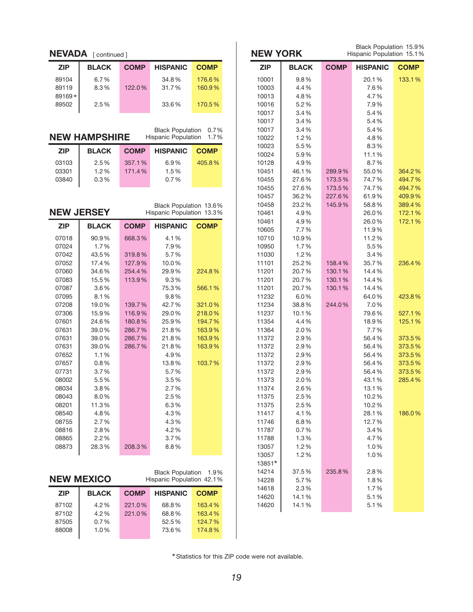|                | NEVADA [continued]   |             |                            |             | <b>NEW YORK</b> |              |             | Black Population 15.9%<br>Hispanic Population 15.1% |                  |
|----------------|----------------------|-------------|----------------------------|-------------|-----------------|--------------|-------------|-----------------------------------------------------|------------------|
| <b>ZIP</b>     | <b>BLACK</b>         | <b>COMP</b> | <b>HISPANIC</b>            | <b>COMP</b> | <b>ZIP</b>      | <b>BLACK</b> | <b>COMP</b> | <b>HISPANIC</b>                                     | <b>COMP</b>      |
| 89104          | 6.7%                 |             | 34.8%                      | 176.6%      | 10001           | 9.8%         |             | 20.1%                                               | 133.1%           |
| 89119          | 8.3%                 | 122.0%      | 31.7%                      | 160.9%      | 10003           | 4.4%         |             | 7.6%                                                |                  |
| 89169*         |                      |             |                            |             | 10013           | 4.8%         |             | 4.7%                                                |                  |
| 89502          | 2.5%                 |             | 33.6%                      | 170.5%      | 10016           | 5.2%         |             | 7.9%                                                |                  |
|                |                      |             |                            |             | 10017           | 3.4%         |             | 5.4%                                                |                  |
|                |                      |             |                            |             | 10017           | 3.4%         |             | 5.4%                                                |                  |
|                |                      |             | <b>Black Population</b>    | 0.7%        | 10017           | 3.4%         |             | 5.4%                                                |                  |
|                | <b>NEW HAMPSHIRE</b> |             | <b>Hispanic Population</b> | 1.7%        | 10022           | 1.2%         |             | 4.8%                                                |                  |
|                |                      |             |                            |             | 10023           | 5.5%         |             | 8.3%                                                |                  |
| <b>ZIP</b>     | <b>BLACK</b>         | <b>COMP</b> | <b>HISPANIC</b>            | <b>COMP</b> | 10024           | 5.9%         |             | 11.1%                                               |                  |
| 03103          | 2.5%                 | 357.1%      | 6.9%                       | 405.8%      | 10128           | 4.9%         |             | 8.7%                                                |                  |
| 03301          | 1.2%                 | 171.4%      | 1.5%                       |             | 10451           | 46.1%        | 289.9%      | 55.0%                                               | 364.2%           |
| 03840          | 0.3%                 |             | 0.7%                       |             | 10455           | 27.6%        | 173.5%      | 74.7%                                               | 494.7%           |
|                |                      |             |                            |             | 10455           | 27.6%        | 173.5%      | 74.7%                                               | 494.7%           |
|                |                      |             |                            |             | 10457           | 36.2%        | 227.6%      | 61.9%                                               | 409.9%           |
|                |                      |             | Black Population 13.6%     |             | 10458           | 23.2%        | 145.9%      | 58.8%                                               | 389.4%           |
|                | <b>NEW JERSEY</b>    |             | Hispanic Population 13.3%  |             | 10461           | 4.9%         |             | 26.0%                                               | 172.1%           |
| <b>ZIP</b>     | <b>BLACK</b>         | <b>COMP</b> | <b>HISPANIC</b>            | <b>COMP</b> | 10461           | 4.9%         |             | 26.0%                                               | 172.1%           |
|                |                      |             |                            |             | 10605           | 7.7%         |             | 11.9%                                               |                  |
| 07018          | 90.9%                | 668.3%      | 4.1%                       |             | 10710           | 10.9%        |             | 11.2%                                               |                  |
| 07024          | 1.7%                 |             | 7.9%                       |             | 10950           | 1.7%         |             | 5.5%                                                |                  |
| 07042          | 43.5%                | 319.8%      | 5.7%                       |             | 11030           | 1.2%         |             | 3.4%                                                |                  |
| 07052          | 17.4%                | 127.9%      | 10.0%                      |             | 11101           | 25.2%        | 158.4%      | 35.7%                                               | 236.4%           |
| 07060          | 34.6%                | 254.4%      | 29.9%                      | 224.8%      | 11201           | 20.7%        | 130.1%      | 14.4%                                               |                  |
| 07083          | 15.5%                | 113.9%      | 9.3%                       |             | 11201           | 20.7%        | 130.1%      | 14.4%                                               |                  |
| 07087          | 3.6%                 |             | 75.3%                      | 566.1%      | 11201           | 20.7%        | 130.1%      | 14.4%                                               |                  |
| 07095          | 8.1%                 |             | 9.8%                       |             | 11232           | 6.0%         |             | 64.0%                                               | 423.8%           |
| 07208          | 19.0%                | 139.7%      | 42.7%                      | 321.0%      | 11234           | 38.8%        | 244.0%      | 7.0%                                                |                  |
| 07306          | 15.9%                | 116.9%      | 29.0%                      | 218.0%      | 11237           | 10.1%        |             | 79.6%                                               | 527.1%           |
| 07601          | 24.6%                | 180.8%      | 25.9%                      | 194.7%      | 11354           | 4.4%         |             | 18.9%                                               | 125.1%           |
| 07631          | 39.0%                | 286.7%      | 21.8%                      | 163.9%      | 11364           | 2.0%         |             | 7.7%                                                |                  |
| 07631          | 39.0%                | 286.7%      | 21.8%                      | 163.9%      | 11372           | 2.9%         |             | 56.4%                                               | 373.5%           |
| 07631          | 39.0%                | 286.7%      | 21.8%                      | 163.9%      | 11372           | 2.9%         |             | 56.4%                                               | 373.5%           |
| 07652          | 1.1%                 |             | 4.9%                       |             | 11372           | 2.9%         |             | 56.4%                                               | 373.5%           |
| 07657<br>07731 | 0.8%<br>3.7%         |             | 13.8%<br>5.7%              | 103.7%      | 11372<br>11372  | 2.9%<br>2.9% |             | 56.4%<br>56.4%                                      | 373.5%<br>373.5% |
| 08002          | 5.5%                 |             | 3.5%                       |             | 11373           | 2.0%         |             | 43.1%                                               | 285.4%           |
| 08034          | 3.8%                 |             | 2.7%                       |             | 11374           | 2.6%         |             | 13.1%                                               |                  |
| 08043          | 8.0%                 |             | 2.5%                       |             | 11375           | 2.5%         |             | 10.2%                                               |                  |
| 08201          | 11.3%                |             | 6.3%                       |             | 11375           | 2.5%         |             | 10.2%                                               |                  |
| 08540          | 4.8%                 |             | 4.3%                       |             | 11417           | 4.1%         |             | 28.1%                                               | 186.0%           |
| 08755          | 2.7%                 |             | 4.3%                       |             | 11746           | 6.8%         |             | 12.7%                                               |                  |
| 08816          | 2.8%                 |             | 4.2%                       |             | 11787           | 0.7%         |             | 3.4%                                                |                  |
| 08865          | 2.2%                 |             | 3.7%                       |             | 11788           | 1.3%         |             | 4.7%                                                |                  |
| 08873          | 28.3%                | 208.3%      | 8.8%                       |             | 13057           | 1.2%         |             | 1.0%                                                |                  |
|                |                      |             |                            |             | 13057           | 1.2%         |             | 1.0%                                                |                  |
|                |                      |             |                            |             | 13851*          |              |             |                                                     |                  |
|                |                      |             | Black Population 1.9%      |             | 14214           | 37.5%        | 235.8%      | 2.8%                                                |                  |
|                | <b>NEW MEXICO</b>    |             | Hispanic Population 42.1%  |             | 14228           | 5.7%         |             | 1.8%                                                |                  |
|                |                      |             |                            |             | 14618           | 2.3%         |             | 1.7%                                                |                  |
| <b>ZIP</b>     | <b>BLACK</b>         | <b>COMP</b> | <b>HISPANIC</b>            | <b>COMP</b> | 14620           | 14.1%        |             | 5.1%                                                |                  |
| 87102          | 4.2%                 | 221.0%      | 68.8%                      | 163.4%      | 14620           | 14.1%        |             | 5.1%                                                |                  |
| 87102          | 4.2%                 | 221.0%      | 68.8%                      | 163.4%      |                 |              |             |                                                     |                  |
| 87505          | 0.7%                 |             | 52.5%                      | 124.7%      |                 |              |             |                                                     |                  |
| 88008          | 1.0%                 |             | 73.6%                      | 174.8%      |                 |              |             |                                                     |                  |
|                |                      |             |                            |             |                 |              |             |                                                     |                  |

 $\mathbf{r}$ 

Statistics for this ZIP code were not available. \*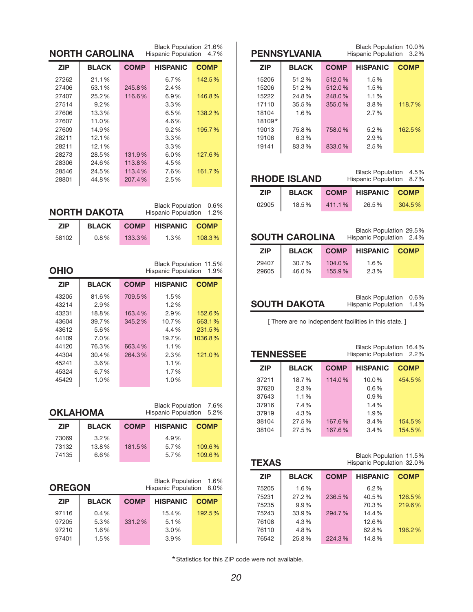|                 | <b>NORTH CAROLINA</b> |             | Black Population 21.6%<br>Hispanic Population 4.7%    |              |                  | <b>PENNSYLVANIA</b>   |             | Black Population 10.0%<br>Hispanic Population          | 3.2%        |
|-----------------|-----------------------|-------------|-------------------------------------------------------|--------------|------------------|-----------------------|-------------|--------------------------------------------------------|-------------|
| <b>ZIP</b>      | <b>BLACK</b>          | <b>COMP</b> | <b>HISPANIC</b>                                       | <b>COMP</b>  | <b>ZIP</b>       | <b>BLACK</b>          | <b>COMP</b> | <b>HISPANIC</b>                                        | <b>COMP</b> |
| 27262           | 21.1%                 |             | 6.7%                                                  | 142.5%       | 15206            | 51.2%                 | 512.0%      | 1.5%                                                   |             |
| 27406           | 53.1%                 | 245.8%      | 2.4%                                                  |              | 15206            | 51.2%                 | 512.0%      | 1.5%                                                   |             |
| 27407           | 25.2%                 | 116.6%      | 6.9%                                                  | 146.8%       | 15222            | 24.8%                 | 248.0%      | 1.1%                                                   |             |
| 27514           | 9.2%                  |             | 3.3%                                                  |              | 17110            | 35.5%                 | 355.0%      | 3.8%                                                   | 118.7%      |
| 27606           | 13.3%                 |             | 6.5%                                                  | 138.2%       | 18104            | 1.6%                  |             | 2.7%                                                   |             |
| 27607           | 11.0%                 |             | 4.6%                                                  |              | 18109*           |                       |             |                                                        |             |
|                 | 14.9%                 |             | 9.2%                                                  |              |                  | 75.8%                 |             |                                                        |             |
| 27609           |                       |             |                                                       | 195.7%       | 19013            |                       | 758.0%      | 5.2%                                                   | 162.5%      |
| 28211           | 12.1%                 |             | 3.3%                                                  |              | 19106            | 6.3%                  |             | 2.9%                                                   |             |
| 28211           | 12.1%                 |             | 3.3%                                                  |              | 19141            | 83.3%                 | 833.0%      | 2.5%                                                   |             |
| 28273           | 28.5%                 | 131.9%      | 6.0%                                                  | 127.6%       |                  |                       |             |                                                        |             |
| 28306           | 24.6%                 | 113.8%      | 4.5%                                                  |              |                  |                       |             |                                                        |             |
| 28546           | 24.5%                 | 113.4%      | 7.6%                                                  | 161.7%       |                  |                       |             | <b>Black Population</b>                                | 4.5%        |
| 28801           | 44.8%                 | 207.4%      | 2.5%                                                  |              |                  | <b>RHODE ISLAND</b>   |             | Hispanic Population                                    | 8.7%        |
|                 |                       |             |                                                       |              | <b>ZIP</b>       | <b>BLACK</b>          | <b>COMP</b> | <b>HISPANIC</b>                                        | <b>COMP</b> |
|                 | <b>NORTH DAKOTA</b>   |             | <b>Black Population</b><br><b>Hispanic Population</b> | 0.6%<br>1.2% | 02905            | 18.5%                 | 411.1%      | 26.5%                                                  | 304.5%      |
| <b>ZIP</b>      | <b>BLACK</b>          | <b>COMP</b> | <b>HISPANIC</b>                                       | <b>COMP</b>  |                  |                       |             |                                                        |             |
| 58102           | 0.8%                  | 133.3%      | 1.3%                                                  | 108.3%       |                  | <b>SOUTH CAROLINA</b> |             | Black Population 29.5%<br>Hispanic Population 2.4%     |             |
|                 |                       |             |                                                       |              | <b>ZIP</b>       | <b>BLACK</b>          | <b>COMP</b> | <b>HISPANIC</b>                                        | <b>COMP</b> |
|                 |                       |             |                                                       |              | 29407            | 30.7%                 | 104.0%      | 1.6%                                                   |             |
| <b>OHIO</b>     |                       |             | Black Population 11.5%<br>Hispanic Population         | 1.9%         | 29605            | 46.0%                 | 155.9%      | 2.3%                                                   |             |
| <b>ZIP</b>      | <b>BLACK</b>          | <b>COMP</b> | <b>HISPANIC</b>                                       | <b>COMP</b>  |                  |                       |             |                                                        |             |
| 43205           | 81.6%                 | 709.5%      | 1.5%                                                  |              |                  |                       |             | <b>Black Population</b>                                | 0.6%        |
| 43214           | 2.9%                  |             | 1.2%                                                  |              |                  | <b>SOUTH DAKOTA</b>   |             | Hispanic Population                                    | 1.4%        |
| 43231           | 18.8%                 | 163.4%      | 2.9%                                                  | 152.6%       |                  |                       |             |                                                        |             |
| 43604           | 39.7%                 | 345.2%      | 10.7%                                                 | 563.1%       |                  |                       |             | [ There are no independent facilities in this state. ] |             |
| 43612           | 5.6%                  |             | 4.4%                                                  | 231.5%       |                  |                       |             |                                                        |             |
| 44109           | 7.0%                  |             | 19.7%                                                 | 1036.8%      |                  |                       |             |                                                        |             |
| 44120           | 76.3%                 | 663.4%      | 1.1%                                                  |              |                  |                       |             | Black Population 16.4%                                 |             |
| 44304           | 30.4%                 | 264.3%      | 2.3%                                                  | 121.0%       | <b>TENNESSEE</b> |                       |             | Hispanic Population 2.2%                               |             |
| 45241           | 3.6%                  |             | 1.1%                                                  |              |                  |                       |             |                                                        |             |
| 45324           | 6.7%                  |             | 1.7%                                                  |              | <b>ZIP</b>       | <b>BLACK</b>          | <b>COMP</b> | <b>HISPANIC</b>                                        | <b>COMP</b> |
| 45429           | 1.0%                  |             | 1.0%                                                  |              | 37211            | 18.7%                 | 114.0%      | 10.0%                                                  | 454.5%      |
|                 |                       |             |                                                       |              | 37620            | 2.3%                  |             | 0.6%                                                   |             |
|                 |                       |             |                                                       |              | 37643            | 1.1%                  |             | 0.9%                                                   |             |
|                 |                       |             | Black Population 7.6%                                 |              | 37916            | 7.4%                  |             | 1.4%                                                   |             |
| <b>OKLAHOMA</b> |                       |             | Hispanic Population 5.2%                              |              | 37919            | 4.3%                  |             | 1.9%                                                   |             |
| <b>ZIP</b>      | <b>BLACK</b>          | <b>COMP</b> | <b>HISPANIC</b>                                       | <b>COMP</b>  | 38104            | 27.5%                 | 167.6%      | 3.4%                                                   | 154.5%      |
| 73069           | 3.2%                  |             | 4.9%                                                  |              | 38104            | 27.5%                 | 167.6%      | 3.4%                                                   | 154.5%      |
| 73132           | 13.8%                 | 181.5%      | 5.7%                                                  | 109.6%       |                  |                       |             |                                                        |             |
| 74135           | 6.6%                  |             | 5.7%                                                  | 109.6%       |                  |                       |             |                                                        |             |
|                 |                       |             |                                                       |              | <b>TEXAS</b>     |                       |             | Black Population 11.5%<br>Hispanic Population 32.0%    |             |
|                 |                       |             |                                                       |              | <b>ZIP</b>       | <b>BLACK</b>          | <b>COMP</b> | <b>HISPANIC</b>                                        | <b>COMP</b> |
| <b>OREGON</b>   |                       |             | <b>Black Population</b><br><b>Hispanic Population</b> | 1.6%<br>8.0% | 75205            | 1.6%                  |             | 6.2%                                                   |             |
|                 |                       |             |                                                       |              | 75231            | 27.2%                 | 236.5%      | 40.5%                                                  | 126.5%      |
| <b>ZIP</b>      | <b>BLACK</b>          | <b>COMP</b> | <b>HISPANIC</b>                                       | <b>COMP</b>  | 75235            | 9.9%                  |             | 70.3%                                                  | 219.6%      |
|                 |                       |             |                                                       |              |                  |                       |             |                                                        |             |
| 97116           | 0.4%                  |             | 15.4%                                                 | 192.5%       | 75243            | 33.9%                 | 294.7%      | 14.4%                                                  |             |
| 97205           | 5.3%                  | 331.2%      | 5.1%                                                  |              | 76108            | 4.3%                  |             | 12.6%                                                  |             |
| 97210           | 1.6%                  |             | 3.0%                                                  |              | 76110            | 4.8%                  |             | 62.8%                                                  | 196.2%      |
| 97401           | 1.5%                  |             | 3.9%                                                  |              | 76542            | 25.8%                 | 224.3%      | 14.8%                                                  |             |

Statistics for this ZIP code were not available. \*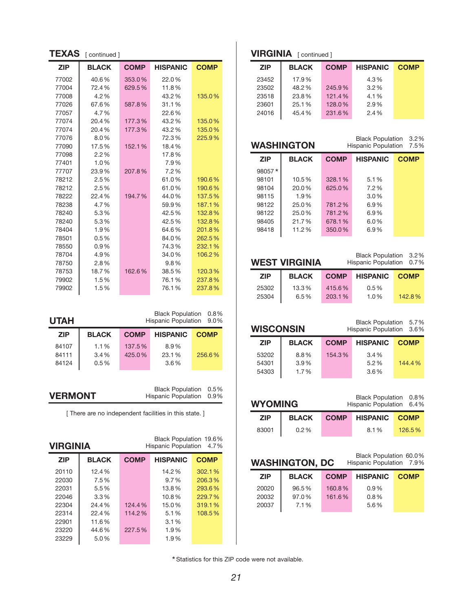| <b>TEXAS</b>                                                                               | [ continued ] |             |                                                      |             |  |
|--------------------------------------------------------------------------------------------|---------------|-------------|------------------------------------------------------|-------------|--|
| <b>ZIP</b>                                                                                 | <b>BLACK</b>  | <b>COMP</b> | <b>HISPANIC</b>                                      | <b>COMP</b> |  |
| 77002                                                                                      | 40.6%         | 353.0%      | 22.0%                                                |             |  |
| 77004                                                                                      | 72.4%         | 629.5%      | 11.8%                                                |             |  |
| 77008                                                                                      | 4.2%          |             | 43.2%                                                | 135.0%      |  |
| 77026                                                                                      | 67.6%         | 587.8%      | 31.1%                                                |             |  |
| 77057                                                                                      | 4.7%          |             | 22.6%                                                |             |  |
| 77074                                                                                      | 20.4%         | 177.3%      | 43.2%                                                | 135.0%      |  |
| 77074                                                                                      | 20.4%         | 177.3%      | 43.2%                                                | 135.0%      |  |
| 77076                                                                                      | 8.0%          |             | 72.3%                                                | 225.9%      |  |
| 77090                                                                                      | 17.5%         | 152.1%      | 18.4%                                                |             |  |
| 77098                                                                                      | 2.2%          |             | 17.8%                                                |             |  |
| 77401                                                                                      | 1.0%          |             | 7.9%                                                 |             |  |
| 77707                                                                                      | 23.9%         | 207.8%      | 7.2%                                                 |             |  |
| 78212                                                                                      | 2.5%          |             | 61.0%                                                | 190.6%      |  |
| 78212                                                                                      | 2.5%          |             | 61.0%                                                | 190.6%      |  |
| 78222                                                                                      | 22.4%         | 194.7%      | 44.0%                                                | 137.5%      |  |
| 78238                                                                                      | 4.7%          |             | 59.9%                                                | 187.1%      |  |
| 78240                                                                                      | 5.3%          |             | 42.5%                                                | 132.8%      |  |
| 78240                                                                                      | 5.3%          |             | 42.5%                                                | 132.8%      |  |
| 78404                                                                                      | 1.9%          |             | 64.6%                                                | 201.8%      |  |
| 78501                                                                                      | 0.5%          |             | 84.0%                                                | 262.5%      |  |
| 78550                                                                                      | 0.9%          |             | 74.3%                                                | 232.1%      |  |
| 78704                                                                                      | 4.9%          |             | 34.0%                                                | 106.2%      |  |
| 78750                                                                                      | 2.8%          |             | 9.8%                                                 |             |  |
| 78753                                                                                      | 18.7%         | 162.6%      | 38.5%                                                | 120.3%      |  |
| 79902                                                                                      | 1.5%          |             | 76.1%                                                | 237.8%      |  |
| 79902                                                                                      | 1.5%          |             | 76.1%                                                | 237.8%      |  |
|                                                                                            |               |             | <b>Black Population</b>                              | $0.8\%$     |  |
| <b>UTAH</b>                                                                                |               |             | Hispanic Population                                  | 9.0%        |  |
| ZIP                                                                                        | <b>BLACK</b>  | <b>COMP</b> | HISPANIC                                             | <b>COMP</b> |  |
| 84107                                                                                      | 1.1%          | 137.5%      | 8.9%                                                 |             |  |
| 84111                                                                                      | 3.4%          | 425.0%      | 23.1%                                                | 256.6%      |  |
| 84124                                                                                      | 0.5%          |             | 3.6%                                                 |             |  |
| <b>Black Population</b><br>0.5%<br><b>VERMONT</b><br><b>Hispanic Population</b><br>$0.9\%$ |               |             |                                                      |             |  |
| [ There are no independent facilities in this state. ]                                     |               |             |                                                      |             |  |
| VIRGINIA                                                                                   |               |             | Black Population 19.6%<br><b>Hispanic Population</b> | 4.7%        |  |
| 71D                                                                                        | <b>RIACK</b>  |             | COMP HIGDANIC                                        | <b>COMP</b> |  |

| <b>ZIP</b> | <b>BLACK</b> | <b>COMP</b> | <b>HISPANIC</b> | <b>COMP</b> |
|------------|--------------|-------------|-----------------|-------------|
| 20110      | 12.4%        |             | 14.2%           | 302.1%      |
| 22030      | 7.5%         |             | $9.7\%$         | 206.3%      |
| 22031      | 5.5%         |             | 13.8%           | 293.6%      |
| 22046      | $3.3\%$      |             | 10.8%           | 229.7%      |
| 22304      | 24.4%        | 124.4%      | 15.0%           | 319.1%      |
| 22314      | 22.4%        | 114.2%      | 5.1%            | 108.5%      |
| 22901      | 11.6%        |             | 3.1%            |             |
| 23220      | 44.6%        | 227.5%      | 1.9%            |             |
| 23229      | $5.0\%$      |             | 1.9%            |             |
|            |              |             |                 |             |

## **VIRGINIA** [ continued ]

| <b>ZIP</b> | <b>BLACK</b> | <b>COMP</b> | <b>HISPANIC</b> | <b>COMP</b> |
|------------|--------------|-------------|-----------------|-------------|
| 23452      | 17.9%        |             | 4.3%            |             |
| 23502      | 48.2%        | 245.9%      | $3.2\%$         |             |
| 23518      | 23.8%        | 121.4%      | 4.1%            |             |
| 23601      | 25.1%        | 128.0%      | 2.9%            |             |
| 24016      | 45.4%        | 231.6%      | 2.4%            |             |

# **washington**

Black Population 3.2% Hispanic Population 7.5%

| <b>ZIP</b> | <b>BLACK</b> | <b>COMP</b> | <b>HISPANIC</b> | <b>COMP</b> |
|------------|--------------|-------------|-----------------|-------------|
| 98057*     |              |             |                 |             |
| 98101      | 10.5%        | 328.1%      | 5.1%            |             |
| 98104      | 20.0%        | 625.0%      | 7.2%            |             |
| 98115      | 1.9%         |             | $3.0\%$         |             |
| 98122      | 25.0%        | 781.2%      | $6.9\%$         |             |
| 98122      | 25.0%        | 781.2%      | 6.9%            |             |
| 98405      | 21.7%        | 678.1%      | $6.0\%$         |             |
| 98418      | 11.2%        | 350.0%      | 6.9%            |             |
|            |              |             |                 |             |

|                | <b>WEST VIRGINIA</b> |                  | Black Population 3.2%<br>Hispanic Population 0.7% |             |
|----------------|----------------------|------------------|---------------------------------------------------|-------------|
| <b>ZIP</b>     | <b>BLACK</b>         | <b>COMP</b>      | <b>HISPANIC</b>                                   | <b>COMP</b> |
| 25302<br>25304 | 13.3%<br>6.5%        | 415.6%<br>203.1% | $0.5\%$<br>1.0%                                   | 142.8%      |

| <b>WISCONSIN</b> |              |             | Black Population 5.7%<br>Hispanic Population 3.6% |             |
|------------------|--------------|-------------|---------------------------------------------------|-------------|
| <b>ZIP</b>       | <b>BLACK</b> | <b>COMP</b> | <b>HISPANIC</b>                                   | <b>COMP</b> |
| 53202            | 8.8%         | 154.3%      | $3.4\%$                                           |             |
| 54301            | 3.9%         |             | 5.2%                                              | 144.4%      |
| 54303            | 1.7%         |             | 3.6%                                              |             |

| Black Population 0.8%<br><b>WYOMING</b><br>Hispanic Population 6.4% |              |             |                      |        |
|---------------------------------------------------------------------|--------------|-------------|----------------------|--------|
| <b>ZIP</b>                                                          | <b>BLACK</b> | <b>COMP</b> | <b>HISPANIC COMP</b> |        |
| 83001                                                               | $0.2\%$      |             | 8.1%                 | 126.5% |

|            | <b>WASHINGTON, DC</b> | Black Population 60.0%<br>Hispanic Population 7.9% |                 |             |
|------------|-----------------------|----------------------------------------------------|-----------------|-------------|
| <b>ZIP</b> | <b>BLACK</b>          | <b>COMP</b>                                        | <b>HISPANIC</b> | <b>COMP</b> |
| 20020      | 96.5%                 | 160.8%                                             | 0.9%            |             |
| 20032      | 97.0%                 | 161.6%                                             | 0.8%            |             |
| 20037      | 7.1%                  |                                                    | 5.6%            |             |
|            |                       |                                                    |                 |             |

Statistics for this ZIP code were not available. \*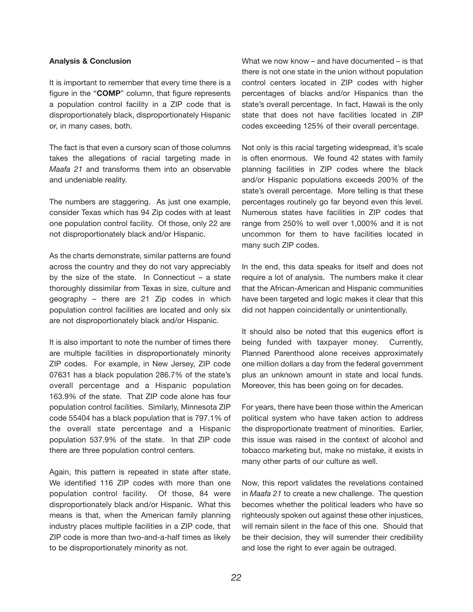#### **analysis & conclusion**

It is important to remember that every time there is a figure in the "**coMP**" column, that figure represents a population control facility in a ZIP code that is disproportionately black, disproportionately Hispanic or, in many cases, both.

The fact is that even a cursory scan of those columns takes the allegations of racial targeting made in *Maafa 21* and transforms them into an observable and undeniable reality.

The numbers are staggering. As just one example, consider Texas which has 94 Zip codes with at least one population control facility. Of those, only 22 are not disproportionately black and/or Hispanic.

As the charts demonstrate, similar patterns are found across the country and they do not vary appreciably by the size of the state. In Connecticut  $-$  a state thoroughly dissimilar from Texas in size, culture and geography – there are 21 Zip codes in which population control facilities are located and only six are not disproportionately black and/or Hispanic.

It is also important to note the number of times there are multiple facilities in disproportionately minority ZIP codes. For example, in New Jersey, ZIP code 07631 has a black population 286.7% of the state's overall percentage and a Hispanic population 163.9% of the state. That ZIP code alone has four population control facilities. Similarly, Minnesota ZIP code 55404 has a black population that is 797.1% of the overall state percentage and a Hispanic population 537.9% of the state. In that ZIP code there are three population control centers.

Again, this pattern is repeated in state after state. We identified 116 ZIP codes with more than one population control facility. Of those, 84 were disproportionately black and/or Hispanic. What this means is that, when the American family planning industry places multiple facilities in a ZIP code, that ZIP code is more than two-and-a-half times as likely to be disproportionately minority as not.

What we now know – and have documented – is that there is not one state in the union without population control centers located in ZIP codes with higher percentages of blacks and/or Hispanics than the state's overall percentage. In fact, Hawaii is the only state that does not have facilities located in ZIP codes exceeding 125% of their overall percentage.

Not only is this racial targeting widespread, it's scale is often enormous. We found 42 states with family planning facilities in ZIP codes where the black and/or Hispanic populations exceeds 200% of the state's overall percentage. More telling is that these percentages routinely go far beyond even this level. Numerous states have facilities in ZIP codes that range from 250% to well over 1,000% and it is not uncommon for them to have facilities located in many such ZIP codes.

In the end, this data speaks for itself and does not require a lot of analysis. The numbers make it clear that the African-American and Hispanic communities have been targeted and logic makes it clear that this did not happen coincidentally or unintentionally.

It should also be noted that this eugenics effort is being funded with taxpayer money. Currently, Planned Parenthood alone receives approximately one million dollars a day from the federal government plus an unknown amount in state and local funds. Moreover, this has been going on for decades.

For years, there have been those within the American political system who have taken action to address the disproportionate treatment of minorities. Earlier, this issue was raised in the context of alcohol and tobacco marketing but, make no mistake, it exists in many other parts of our culture as well.

Now, this report validates the revelations contained in *Maafa 21* to create a new challenge. The question becomes whether the political leaders who have so righteously spoken out against these other injustices, will remain silent in the face of this one. Should that be their decision, they will surrender their credibility and lose the right to ever again be outraged.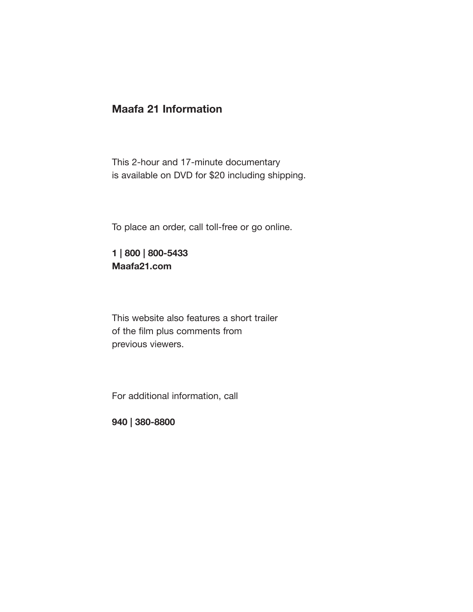# **Maafa 21 information**

This 2-hour and 17-minute documentary is available on DVD for \$20 including shipping.

To place an order, call toll-free or go online.

**1 | 800 | 800-5433 Maafa21.com**

This website also features a short trailer of the film plus comments from previous viewers.

For additional information, call

**940 | 380-8800**